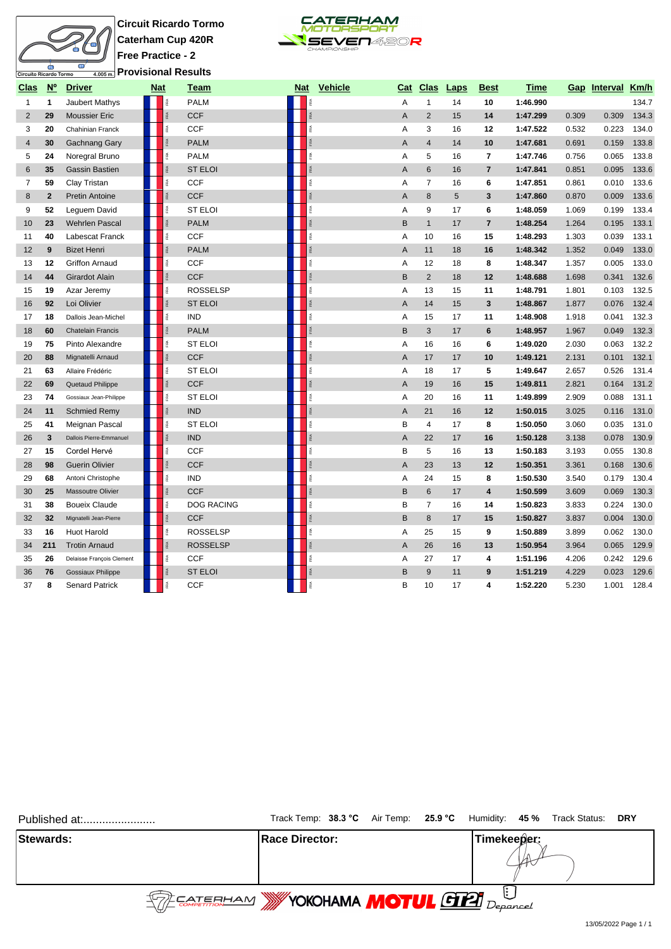## Circuito Ricardo Tormo  $\bullet$

**Circuit Ricardo Tormo Caterham Cup 420R Free Practice - 2 Provisional Results**



| <u>Clas</u>    | $\underline{N}^{\circ}$ | <b>Driver</b>             | <b>Nat</b> |   | Team              | Nat | <b>Vehicle</b>     |                | Cat Clas                | <b>Laps</b> | <b>Best</b>    | Time     |       | Gap Interval Km/h |       |
|----------------|-------------------------|---------------------------|------------|---|-------------------|-----|--------------------|----------------|-------------------------|-------------|----------------|----------|-------|-------------------|-------|
| $\mathbf{1}$   | $\mathbf{1}$            | Jaubert Mathys            |            |   | <b>PALM</b>       |     |                    | Α              | $\mathbf{1}$            | 14          | 10             | 1:46.990 |       |                   | 134.7 |
| $\overline{2}$ | 29                      | <b>Moussier Eric</b>      |            |   | <b>CCF</b>        |     | $\frac{3}{R}$      | $\overline{A}$ | $\overline{2}$          | 15          | 14             | 1:47.299 | 0.309 | 0.309             | 134.3 |
| 3              | 20                      | Chahinian Franck          |            |   | CCF               |     | FRA                | А              | 3                       | 16          | 12             | 1:47.522 | 0.532 | 0.223             | 134.0 |
| $\overline{4}$ | 30                      | Gachnang Gary             |            |   | <b>PALM</b>       |     |                    | A              | $\overline{4}$          | 14          | 10             | 1:47.681 | 0.691 | 0.159             | 133.8 |
| 5              | 24                      | Noregral Bruno            |            |   | <b>PALM</b>       |     |                    | Α              | 5                       | 16          | $\overline{7}$ | 1:47.746 | 0.756 | 0.065             | 133.8 |
| 6              | 35                      | <b>Gassin Bastien</b>     |            |   | <b>ST ELOI</b>    |     | ø                  | A              | 6                       | 16          | $\overline{7}$ | 1:47.841 | 0.851 | 0.095             | 133.6 |
| 7              | 59                      | Clay Tristan              |            | é | <b>CCF</b>        |     | ß.                 | Α              | $\overline{7}$          | 16          | 6              | 1:47.851 | 0.861 | 0.010             | 133.6 |
| 8              | $\mathbf{2}$            | <b>Pretin Antoine</b>     |            |   | <b>CCF</b>        |     | <b>RA</b>          | A              | 8                       | 5           | 3              | 1:47.860 | 0.870 | 0.009             | 133.6 |
| 9              | 52                      | Leguem David              |            |   | <b>ST ELOI</b>    |     | RA                 | A              | 9                       | 17          | 6              | 1:48.059 | 1.069 | 0.199             | 133.4 |
| 10             | 23                      | <b>Wehrlen Pascal</b>     |            |   | <b>PALM</b>       |     | RA                 | B              | $\mathbf{1}$            | 17          | $\overline{7}$ | 1:48.254 | 1.264 | 0.195             | 133.1 |
| 11             | 40                      | Labescat Franck           |            |   | CCF               |     | é                  | Α              | 10                      | 16          | 15             | 1:48.293 | 1.303 | 0.039             | 133.1 |
| 12             | 9                       | <b>Bizet Henri</b>        |            |   | <b>PALM</b>       |     | $\frac{\sigma}{R}$ | A              | 11                      | 18          | 16             | 1:48.342 | 1.352 | 0.049             | 133.0 |
| 13             | 12                      | <b>Griffon Arnaud</b>     |            |   | <b>CCF</b>        |     | RA                 | A              | 12                      | 18          | 8              | 1:48.347 | 1.357 | 0.005             | 133.0 |
| 14             | 44                      | Girardot Alain            |            |   | <b>CCF</b>        |     | $\frac{4}{R}$      | B              | $\overline{2}$          | 18          | 12             | 1:48.688 | 1.698 | 0.341             | 132.6 |
| 15             | 19                      | Azar Jeremy               |            |   | <b>ROSSELSP</b>   |     |                    | Α              | 13                      | 15          | 11             | 1:48.791 | 1.801 | 0.103             | 132.5 |
| 16             | 92                      | Loi Olivier               |            |   | <b>ST ELOI</b>    |     |                    | $\overline{A}$ | 14                      | 15          | 3              | 1:48.867 | 1.877 | 0.076             | 132.4 |
| 17             | 18                      | Dallois Jean-Michel       |            |   | <b>IND</b>        |     | FRA                | А              | 15                      | 17          | 11             | 1:48.908 | 1.918 | 0.041             | 132.3 |
| 18             | 60                      | <b>Chatelain Francis</b>  |            |   | <b>PALM</b>       |     |                    | B              | 3                       | 17          | 6              | 1:48.957 | 1.967 | 0.049             | 132.3 |
| 19             | 75                      | Pinto Alexandre           |            |   | <b>ST ELOI</b>    |     |                    | Α              | 16                      | 16          | 6              | 1:49.020 | 2.030 | 0.063             | 132.2 |
| 20             | 88                      | Mignatelli Arnaud         |            |   | <b>CCF</b>        |     |                    | A              | 17                      | 17          | 10             | 1:49.121 | 2.131 | 0.101             | 132.1 |
| 21             | 63                      | Allaire Frédéric          |            |   | <b>ST ELOI</b>    |     | îRA.               | Α              | 18                      | 17          | 5              | 1:49.647 | 2.657 | 0.526             | 131.4 |
| 22             | 69                      | Quetaud Philippe          |            |   | <b>CCF</b>        |     | <b>RA</b>          | A              | 19                      | 16          | 15             | 1:49.811 | 2.821 | 0.164             | 131.2 |
| 23             | 74                      | Gossiaux Jean-Philippe    |            |   | <b>ST ELOI</b>    |     |                    | A              | 20                      | 16          | 11             | 1:49.899 | 2.909 | 0.088             | 131.1 |
| 24             | 11                      | <b>Schmied Remy</b>       |            |   | <b>IND</b>        |     |                    | Α              | 21                      | 16          | 12             | 1:50.015 | 3.025 | 0.116             | 131.0 |
| 25             | 41                      | Meignan Pascal            |            |   | <b>ST ELOI</b>    |     | RA.                | B              | $\overline{\mathbf{4}}$ | 17          | 8              | 1:50.050 | 3.060 | 0.035             | 131.0 |
| 26             | 3                       | Dallois Pierre-Emmanuel   |            |   | <b>IND</b>        |     | <b>RA</b>          | A              | 22                      | 17          | 16             | 1:50.128 | 3.138 | 0.078             | 130.9 |
| 27             | 15                      | Cordel Hervé              |            |   | <b>CCF</b>        |     | 歪                  | B              | 5                       | 16          | 13             | 1:50.183 | 3.193 | 0.055             | 130.8 |
| 28             | 98                      | <b>Guerin Olivier</b>     |            |   | <b>CCF</b>        |     | FRA <sub>1</sub>   | A              | 23                      | 13          | 12             | 1:50.351 | 3.361 | 0.168             | 130.6 |
| 29             | 68                      | Antoni Christophe         |            |   | <b>IND</b>        |     | FRA                | Α              | 24                      | 15          | 8              | 1:50.530 | 3.540 | 0.179             | 130.4 |
| 30             | 25                      | Massoutre Olivier         |            |   | <b>CCF</b>        |     | FRA                | B              | $6\phantom{1}$          | 17          | $\overline{4}$ | 1:50.599 | 3.609 | 0.069             | 130.3 |
| 31             | 38                      | <b>Boueix Claude</b>      |            |   | <b>DOG RACING</b> |     | Ř                  | в              | $\overline{7}$          | 16          | 14             | 1:50.823 | 3.833 | 0.224             | 130.0 |
| 32             | 32                      | Mignatelli Jean-Pierre    |            |   | <b>CCF</b>        |     | FRA <sub>1</sub>   | B              | 8                       | 17          | 15             | 1:50.827 | 3.837 | 0.004             | 130.0 |
| 33             | 16                      | <b>Huot Harold</b>        |            |   | <b>ROSSELSP</b>   |     | FRA                | Α              | 25                      | 15          | 9              | 1:50.889 | 3.899 | 0.062             | 130.0 |
| 34             | 211                     | <b>Trotin Arnaud</b>      |            |   | <b>ROSSELSP</b>   |     | FRA                | A              | 26                      | 16          | 13             | 1:50.954 | 3.964 | 0.065             | 129.9 |
| 35             | 26                      | Delaisse François Clement |            |   | <b>CCF</b>        |     | FRA                | Α              | 27                      | 17          | 4              | 1:51.196 | 4.206 | 0.242             | 129.6 |
| 36             | 76                      | <b>Gossiaux Philippe</b>  |            |   | <b>ST ELOI</b>    |     | FØ.                | B              | $9\,$                   | 11          | 9              | 1:51.219 | 4.229 | 0.023             | 129.6 |
| 37             | 8                       | <b>Senard Patrick</b>     |            |   | <b>CCF</b>        |     | îRA.               | B              | 10                      | 17          | 4              | 1:52.220 | 5.230 | 1.001             | 128.4 |

| Published at: |                                                    | Track Temp: 38.3 °C Air Temp: 25.9 °C Humidity: 45 % Track Status: DRY |
|---------------|----------------------------------------------------|------------------------------------------------------------------------|
| Stewards:     | <b>IRace Director:</b>                             | Timekeeper:                                                            |
|               | $\text{CPE}$ EATEEHAM WYOKOHAMA MOTUL GIA Deparcel |                                                                        |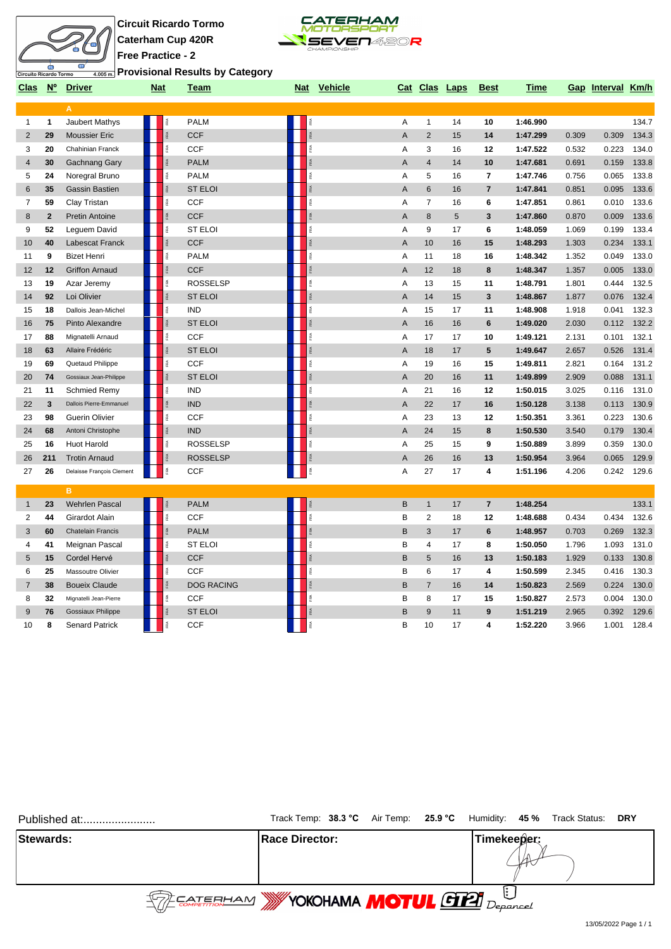



**Provisional Results by Category**

|                |             | Clas Nº Driver            | <b>Nat</b> |                          | Team              |             | Nat Vehicle |                | Cat Clas Laps  |    | <b>Best</b>      | <b>Time</b> |       | Gap Interval Km/h |       |
|----------------|-------------|---------------------------|------------|--------------------------|-------------------|-------------|-------------|----------------|----------------|----|------------------|-------------|-------|-------------------|-------|
|                |             | A                         |            |                          |                   |             |             |                |                |    |                  |             |       |                   |       |
| $\mathbf{1}$   | 1           | Jaubert Mathys            |            |                          | <b>PALM</b>       |             |             | Α              | $\mathbf{1}$   | 14 | 10               | 1:46.990    |       |                   | 134.7 |
| $\overline{2}$ | 29          | <b>Moussier Eric</b>      |            |                          | <b>CCF</b>        |             |             | A              | 2              | 15 | 14               | 1:47.299    | 0.309 | 0.309             | 134.3 |
| 3              | 20          | Chahinian Franck          |            |                          | <b>CCF</b>        | îRA.        |             | A              | 3              | 16 | 12               | 1:47.522    | 0.532 | 0.223             | 134.0 |
| 4              | 30          | Gachnang Gary             |            |                          | <b>PALM</b>       | FRA         |             | A              | $\overline{4}$ | 14 | 10               | 1:47.681    | 0.691 | 0.159             | 133.8 |
| 5              | 24          | Noregral Bruno            |            | $\widetilde{\mathbb{R}}$ | <b>PALM</b>       | FRA         |             | A              | 5              | 16 | $\overline{7}$   | 1:47.746    | 0.756 | 0.065             | 133.8 |
| 6              | 35          | Gassin Bastien            |            |                          | <b>ST ELOI</b>    | Ŗ.          |             | A              | $6\phantom{1}$ | 16 | $\overline{7}$   | 1:47.841    | 0.851 | 0.095             | 133.6 |
| 7              | 59          | Clay Tristan              |            | î.                       | <b>CCF</b>        | FRA         |             | Α              | $\overline{7}$ | 16 | 6                | 1:47.851    | 0.861 | 0.010             | 133.6 |
| 8              | $\mathbf 2$ | <b>Pretin Antoine</b>     |            |                          | <b>CCF</b>        | FRA         |             | A              | $\bf 8$        | 5  | 3                | 1:47.860    | 0.870 | 0.009             | 133.6 |
| 9              | 52          | Leguem David              |            |                          | <b>ST ELOI</b>    | FRA         |             | A              | 9              | 17 | 6                | 1:48.059    | 1.069 | 0.199             | 133.4 |
| 10             | 40          | Labescat Franck           |            |                          | <b>CCF</b>        | RÁ          |             | A              | 10             | 16 | 15               | 1:48.293    | 1.303 | 0.234             | 133.1 |
| 11             | 9           | <b>Bizet Henri</b>        |            | $\tilde{\mathbb{R}}$     | <b>PALM</b>       | FRA         |             | Α              | 11             | 18 | 16               | 1:48.342    | 1.352 | 0.049             | 133.0 |
| 12             | 12          | <b>Griffon Arnaud</b>     |            |                          | <b>CCF</b>        | FRA         |             | $\overline{A}$ | 12             | 18 | 8                | 1:48.347    | 1.357 | 0.005             | 133.0 |
| 13             | 19          | Azar Jeremy               |            |                          | <b>ROSSELSP</b>   | FRA         |             | Α              | 13             | 15 | 11               | 1:48.791    | 1.801 | 0.444             | 132.5 |
| 14             | 92          | Loi Olivier               |            |                          | <b>ST ELOI</b>    | FRA.        |             | $\overline{A}$ | 14             | 15 | 3                | 1:48.867    | 1.877 | 0.076             | 132.4 |
| 15             | 18          | Dallois Jean-Michel       |            | é                        | <b>IND</b>        | R           |             | Α              | 15             | 17 | 11               | 1:48.908    | 1.918 | 0.041             | 132.3 |
| 16             | 75          | Pinto Alexandre           |            |                          | <b>ST ELOI</b>    | FRA         |             | $\overline{A}$ | 16             | 16 | 6                | 1:49.020    | 2.030 | 0.112             | 132.2 |
| 17             | 88          | Mignatelli Arnaud         |            | $\tilde{\mathbb{R}}$     | <b>CCF</b>        | FRA         |             | A              | 17             | 17 | 10               | 1:49.121    | 2.131 | 0.101             | 132.1 |
| 18             | 63          | Allaire Frédéric          |            | $\tilde{\mathbb{R}}$     | <b>ST ELOI</b>    | FRA         |             | A              | 18             | 17 | 5                | 1:49.647    | 2.657 | 0.526             | 131.4 |
| 19             | 69          | Quetaud Philippe          |            | 盏                        | <b>CCF</b>        | R           |             | Α              | 19             | 16 | 15               | 1:49.811    | 2.821 | 0.164             | 131.2 |
| 20             | 74          | Gossiaux Jean-Philippe    |            |                          | <b>ST ELOI</b>    | FRA         |             | A              | 20             | 16 | 11               | 1:49.899    | 2.909 | 0.088             | 131.1 |
| 21             | 11          | <b>Schmied Remy</b>       |            | 歪                        | <b>IND</b>        | îRA.        |             | A              | 21             | 16 | 12               | 1:50.015    | 3.025 | 0.116             | 131.0 |
| 22             | 3           | Dallois Pierre-Emmanuel   |            |                          | <b>IND</b>        | $\tilde{R}$ |             | $\overline{A}$ | 22             | 17 | 16               | 1:50.128    | 3.138 | 0.113             | 130.9 |
| 23             | 98          | <b>Guerin Olivier</b>     |            | ě                        | <b>CCF</b>        | FRA         |             | A              | 23             | 13 | 12               | 1:50.351    | 3.361 | 0.223             | 130.6 |
| 24             | 68          | Antoni Christophe         |            | î.                       | <b>IND</b>        | FRA         |             | A              | 24             | 15 | 8                | 1:50.530    | 3.540 | 0.179             | 130.4 |
| 25             | 16          | <b>Huot Harold</b>        |            | î.                       | <b>ROSSELSP</b>   | FRA         |             | Α              | 25             | 15 | 9                | 1:50.889    | 3.899 | 0.359             | 130.0 |
| 26             | 211         | <b>Trotin Arnaud</b>      |            | īRA                      | <b>ROSSELSP</b>   | FRA         |             | A              | 26             | 16 | 13               | 1:50.954    | 3.964 | 0.065             | 129.9 |
| 27             | 26          | Delaisse François Clement |            | ě                        | <b>CCF</b>        | FRA         |             | Α              | 27             | 17 | 4                | 1:51.196    | 4.206 | 0.242             | 129.6 |
|                |             | B.                        |            |                          |                   |             |             |                |                |    |                  |             |       |                   |       |
| $\mathbf{1}$   | 23          | <b>Wehrlen Pascal</b>     |            |                          | <b>PALM</b>       | FRA         |             | $\sf B$        | $\mathbf{1}$   | 17 | $\overline{7}$   | 1:48.254    |       |                   | 133.1 |
| 2              | 44          | Girardot Alain            |            |                          | <b>CCF</b>        | FRA         |             | В              | $\overline{c}$ | 18 | 12               | 1:48.688    | 0.434 | 0.434             | 132.6 |
| 3              | 60          | Chatelain Francis         |            |                          | <b>PALM</b>       | ŘÁ          |             | B              | 3              | 17 | 6                | 1:48.957    | 0.703 | 0.269             | 132.3 |
| 4              | 41          | Meignan Pascal            |            | é                        | <b>ST ELOI</b>    | ß.          |             | B              | $\overline{4}$ | 17 | 8                | 1:50.050    | 1.796 | 1.093             | 131.0 |
| 5              | 15          | Cordel Hervé              |            |                          | <b>CCF</b>        | FRA         |             | B              | 5              | 16 | 13               | 1:50.183    | 1.929 | 0.133             | 130.8 |
| 6              | 25          | Massoutre Olivier         |            | $\widetilde{\mathbb{R}}$ | <b>CCF</b>        | FRA         |             | B              | 6              | 17 | 4                | 1:50.599    | 2.345 | 0.416             | 130.3 |
| 7              | 38          | <b>Boueix Claude</b>      |            |                          | <b>DOG RACING</b> | FRA         |             | B              | $\overline{7}$ | 16 | 14               | 1:50.823    | 2.569 | 0.224             | 130.0 |
| 8              | 32          | Mignatelli Jean-Pierre    |            |                          | <b>CCF</b>        | é           |             | в              | 8              | 17 | 15               | 1:50.827    | 2.573 | 0.004             | 130.0 |
| 9              | 76          | <b>Gossiaux Philippe</b>  |            |                          | <b>ST ELOI</b>    | FRA         |             | B              | 9              | 11 | $\boldsymbol{9}$ | 1:51.219    | 2.965 | 0.392             | 129.6 |
| 10             | 8           | <b>Senard Patrick</b>     |            | î.                       | <b>CCF</b>        | RA.         |             | B              | 10             | 17 | 4                | 1:52.220    | 3.966 | 1.001             | 128.4 |

| Published at:                                |                        |  |             | Track Temp: 38.3 °C Air Temp: 25.9 °C Humidity: 45 % Track Status: DRY |  |
|----------------------------------------------|------------------------|--|-------------|------------------------------------------------------------------------|--|
| <b>Stewards:</b>                             | <b>IRace Director:</b> |  | Timekeeper: |                                                                        |  |
| <b>REAL EXAMPLE TO A MOTUL GELL</b> Departed |                        |  |             |                                                                        |  |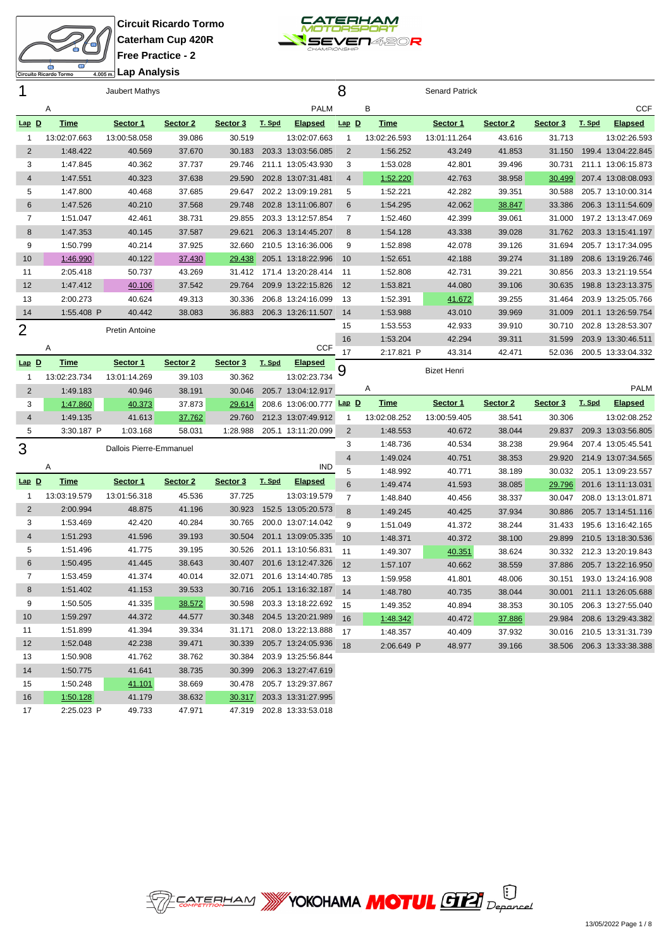

**Circuit Ricardo Tormo Caterham Cup 420R Free Practice - 2 Lap Analysis**



| 1              | <br>Jaubert Mathys   |                         |                  |                  |        |                                                 | 8              |              | <b>Senard Patrick</b> |          |          |        |                           |
|----------------|----------------------|-------------------------|------------------|------------------|--------|-------------------------------------------------|----------------|--------------|-----------------------|----------|----------|--------|---------------------------|
|                | Α                    |                         |                  |                  |        | <b>PALM</b>                                     |                | B            |                       |          |          |        | <b>CCF</b>                |
| $Lap$ $D$      | <b>Time</b>          | <u>Sector 1</u>         | Sector 2         | Sector 3         | T. Spd | <b>Elapsed</b>                                  | $Lap$ $D$      | <b>Time</b>  | <u>Sector 1</u>       | Sector 2 | Sector 3 | T. Spd | <b>Elapsed</b>            |
| $\mathbf{1}$   | 13:02:07.663         | 13:00:58.058            | 39.086           | 30.519           |        | 13:02:07.663                                    | 1              | 13:02:26.593 | 13:01:11.264          | 43.616   | 31.713   |        | 13:02:26.593              |
| 2              | 1:48.422             | 40.569                  | 37.670           | 30.183           |        | 203.3 13:03:56.085                              | $\overline{2}$ | 1:56.252     | 43.249                | 41.853   | 31.150   |        | 199.4 13:04:22.845        |
| 3              | 1:47.845             | 40.362                  | 37.737           | 29.746           |        | 211.1 13:05:43.930                              | 3              | 1:53.028     | 42.801                | 39.496   | 30.731   |        | 211.1 13:06:15.873        |
| 4              | 1:47.551             | 40.323                  | 37.638           | 29.590           |        | 202.8 13:07:31.481                              | 4              | 1:52.220     | 42.763                | 38.958   | 30.499   |        | 207.4 13:08:08.093        |
| 5              | 1:47.800             | 40.468                  | 37.685           | 29.647           |        | 202.2 13:09:19.281                              | 5              | 1:52.221     | 42.282                | 39.351   | 30.588   |        | 205.7 13:10:00.314        |
| 6              | 1:47.526             | 40.210                  | 37.568           | 29.748           |        | 202.8 13:11:06.807                              | 6              | 1:54.295     | 42.062                | 38.847   | 33.386   |        | 206.3 13:11:54.609        |
| $\overline{7}$ | 1:51.047             | 42.461                  | 38.731           | 29.855           |        | 203.3 13:12:57.854                              | 7              | 1:52.460     | 42.399                | 39.061   | 31.000   |        | 197.2 13:13:47.069        |
| 8              | 1:47.353             | 40.145                  | 37.587           | 29.621           |        | 206.3 13:14:45.207                              | 8              | 1:54.128     | 43.338                | 39.028   | 31.762   |        | 203.3 13:15:41.197        |
| 9              | 1:50.799             | 40.214                  | 37.925           | 32.660           |        | 210.5 13:16:36.006                              | 9              | 1:52.898     | 42.078                | 39.126   | 31.694   |        | 205.7 13:17:34.095        |
| 10             | 1:46.990             | 40.122                  | 37.430           | 29.438           |        | 205.1 13:18:22.996                              | 10             | 1:52.651     | 42.188                | 39.274   | 31.189   |        | 208.6 13:19:26.746        |
| 11             | 2:05.418             | 50.737                  | 43.269           | 31.412           |        | 171.4 13:20:28.414                              | -11            | 1:52.808     | 42.731                | 39.221   | 30.856   |        | 203.3 13:21:19.554        |
| 12             | 1:47.412             | 40.106                  | 37.542           | 29.764           |        | 209.9 13:22:15.826                              | 12             | 1:53.821     | 44.080                | 39.106   | 30.635   |        | 198.8 13:23:13.375        |
| 13             | 2:00.273             | 40.624                  | 49.313           | 30.336           |        | 206.8 13:24:16.099                              | 13             | 1:52.391     | 41.672                | 39.255   | 31.464   |        | 203.9 13:25:05.766        |
| 14             | 1:55.408 P           | 40.442                  | 38.083           | 36.883           |        | 206.3 13:26:11.507                              | 14             | 1:53.988     | 43.010                | 39.969   | 31.009   |        | 201.1 13:26:59.754        |
| 2              |                      | Pretin Antoine          |                  |                  |        |                                                 | 15             | 1:53.553     | 42.933                | 39.910   | 30.710   |        | 202.8 13:28:53.307        |
|                |                      |                         |                  |                  |        | <b>CCF</b>                                      | 16             | 1:53.204     | 42.294                | 39.311   | 31.599   |        | 203.9 13:30:46.511        |
|                | Α                    |                         |                  |                  |        |                                                 | 17             | 2:17.821 P   | 43.314                | 42.471   | 52.036   |        | 200.5 13:33:04.332        |
| Lap D          | <b>Time</b>          | Sector 1                | Sector 2         | Sector 3         | T. Spd | Elapsed                                         | 9              |              | <b>Bizet Henri</b>    |          |          |        |                           |
| $\mathbf{1}$   | 13:02:23.734         | 13:01:14.269            | 39.103           | 30.362           |        | 13:02:23.734                                    |                | A            |                       |          |          |        | <b>PALM</b>               |
| $\overline{2}$ | 1:49.183             | 40.946                  | 38.191           |                  |        |                                                 |                |              |                       |          |          |        |                           |
|                |                      |                         |                  | 30.046           |        | 205.7 13:04:12.917                              |                |              |                       |          |          |        |                           |
| 3              | 1:47.860             | 40.373                  | 37.873           | 29.614           |        | 208.6 13:06:00.777 Lap D                        |                | <u>Time</u>  | Sector 1              | Sector 2 | Sector 3 | T. Spd | <b>Elapsed</b>            |
| $\overline{4}$ | 1:49.135             | 41.613                  | 37.762           | 29.760           |        | 212.3 13:07:49.912                              | 1              | 13:02:08.252 | 13:00:59.405          | 38.541   | 30.306   |        | 13:02:08.252              |
| 5              | 3:30.187 P           | 1:03.168                | 58.031           | 1:28.988         |        | 205.1 13:11:20.099                              | $\overline{2}$ | 1:48.553     | 40.672                | 38.044   | 29.837   |        | 209.3 13:03:56.805        |
| 3              |                      | Dallois Pierre-Emmanuel |                  |                  |        |                                                 | 3              | 1:48.736     | 40.534                | 38.238   | 29.964   |        | 207.4 13:05:45.541        |
|                | Α                    |                         |                  |                  |        | <b>IND</b>                                      | 4              | 1:49.024     | 40.751                | 38.353   | 29.920   |        | 214.9 13:07:34.565        |
|                |                      |                         |                  |                  | T. Spd |                                                 | 5              | 1:48.992     | 40.771                | 38.189   | 30.032   |        | 205.1 13:09:23.557        |
| $Lap$ $D$      | <b>Time</b>          | Sector 1                | Sector 2         | Sector 3         |        | <b>Elapsed</b>                                  | 6              | 1:49.474     | 41.593                | 38.085   | 29.796   |        | 201.6 13:11:13.031        |
| $\mathbf{1}$   | 13:03:19.579         | 13:01:56.318            | 45.536           | 37.725           |        | 13:03:19.579                                    | $\overline{7}$ | 1:48.840     | 40.456                | 38.337   | 30.047   |        | 208.0 13:13:01.871        |
| $\overline{2}$ | 2:00.994             | 48.875                  | 41.196           | 30.923           |        | 152.5 13:05:20.573                              | 8              | 1:49.245     | 40.425                | 37.934   | 30.886   |        | 205.7 13:14:51.116        |
| 3<br>4         | 1:53.469             | 42.420                  | 40.284           | 30.765           |        | 200.0 13:07:14.042                              | 9              | 1:51.049     | 41.372                | 38.244   | 31.433   |        | 195.6 13:16:42.165        |
|                | 1:51.293             | 41.596                  | 39.193           | 30.504           |        | 201.1 13:09:05.335                              | 10             | 1:48.371     | 40.372                | 38.100   | 29.899   |        | 210.5 13:18:30.536        |
| 5<br>$\,6$     | 1:51.496             | 41.775                  | 39.195<br>38.643 | 30.526<br>30.407 |        | 201.1 13:10:56.831<br>201.6 13:12:47.326        | 11             | 1:49.307     | 40.351                | 38.624   | 30.332   |        | 212.3 13:20:19.843        |
| 7              | 1:50.495             | 41.445<br>41.374        | 40.014           | 32.071           |        |                                                 | 12             | 1:57.107     | 40.662                | 38.559   | 37.886   |        | 205.7 13:22:16.950        |
|                | 1:53.459             |                         |                  |                  |        | 201.6 13:14:40.785                              | 13             | 1:59.958     | 41.801                | 48.006   | 30.151   |        | 193.0 13:24:16.908        |
| 8              | 1:51.402             | 41.153                  | 39.533           |                  |        | 30.716 205.1 13:16:32.187<br>203.3 13:18:22.692 | 14             | 1:48.780     | 40.735                | 38.044   |          |        | 30.001 211.1 13:26:05.688 |
| 9<br>10        | 1:50.505<br>1:59.297 | 41.335<br>44.372        | 38.572<br>44.577 | 30.598           |        | 30.348 204.5 13:20:21.989                       | 15             | 1:49.352     | 40.894                | 38.353   | 30.105   |        | 206.3 13:27:55.040        |
| 11             | 1:51.899             | 41.394                  | 39.334           | 31.171           |        | 208.0 13:22:13.888                              | 16             | 1:48.342     | 40.472                | 37.886   | 29.984   |        | 208.6 13:29:43.382        |
| 12             | 1:52.048             | 42.238                  | 39.471           | 30.339           |        | 205.7 13:24:05.936                              | 17             | 1:48.357     | 40.409                | 37.932   |          |        | 30.016 210.5 13:31:31.739 |
| 13             | 1:50.908             | 41.762                  | 38.762           | 30.384           |        | 203.9 13:25:56.844                              | 18             | 2:06.649 P   | 48.977                | 39.166   |          |        | 38.506 206.3 13:33:38.388 |
| 14             | 1:50.775             | 41.641                  | 38.735           | 30.399           |        | 206.3 13:27:47.619                              |                |              |                       |          |          |        |                           |
| 15             | 1:50.248             | 41.101                  | 38.669           |                  |        | 30.478 205.7 13:29:37.867                       |                |              |                       |          |          |        |                           |
| 16             | 1:50.128             | 41.179                  | 38.632           |                  |        | 30.317 203.3 13:31:27.995                       |                |              |                       |          |          |        |                           |

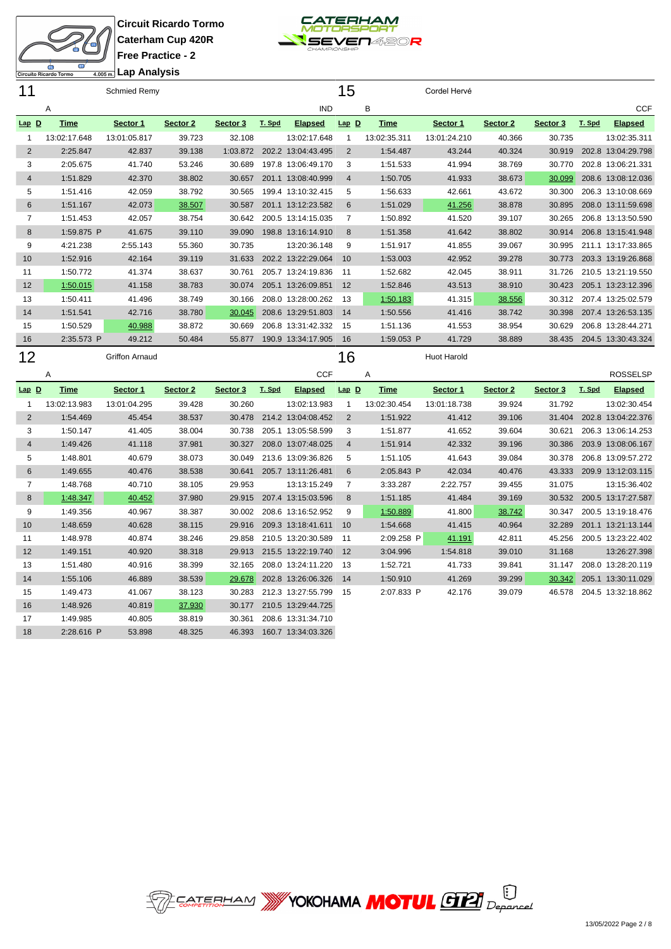



| 11             |              | Schmied Remy          |          |          |        |                    | 15             |              | Cordel Hervé       |          |          |        |                    |
|----------------|--------------|-----------------------|----------|----------|--------|--------------------|----------------|--------------|--------------------|----------|----------|--------|--------------------|
|                | Α            |                       |          |          |        | <b>IND</b>         |                | в            |                    |          |          |        | <b>CCF</b>         |
| $Lap$ D        | <b>Time</b>  | Sector 1              | Sector 2 | Sector 3 | T. Spd | <b>Elapsed</b>     | $Lap$ $D$      | <b>Time</b>  | Sector 1           | Sector 2 | Sector 3 | T. Spd | <b>Elapsed</b>     |
|                | 13:02:17.648 | 13:01:05.817          | 39.723   | 32.108   |        | 13:02:17.648       |                | 13:02:35.311 | 13:01:24.210       | 40.366   | 30.735   |        | 13:02:35.311       |
| $\overline{2}$ | 2:25.847     | 42.837                | 39.138   | 1:03.872 | 202.2  | 13:04:43.495       | 2              | 1:54.487     | 43.244             | 40.324   | 30.919   | 202.8  | 13:04:29.798       |
| 3              | 2:05.675     | 41.740                | 53.246   | 30.689   |        | 197.8 13:06:49.170 | 3              | 1:51.533     | 41.994             | 38.769   | 30.770   |        | 202.8 13:06:21.331 |
| 4              | 1:51.829     | 42.370                | 38.802   | 30.657   |        | 201.1 13:08:40.999 | $\overline{4}$ | 1:50.705     | 41.933             | 38.673   | 30.099   |        | 208.6 13:08:12.036 |
| 5              | 1:51.416     | 42.059                | 38.792   | 30.565   |        | 199.4 13:10:32.415 | 5              | 1:56.633     | 42.661             | 43.672   | 30.300   |        | 206.3 13:10:08.669 |
| 6              | 1:51.167     | 42.073                | 38.507   | 30.587   |        | 201.1 13:12:23.582 | 6              | 1:51.029     | 41.256             | 38.878   | 30.895   |        | 208.0 13:11:59.698 |
| 7              | 1:51.453     | 42.057                | 38.754   | 30.642   |        | 200.5 13:14:15.035 | 7              | 1:50.892     | 41.520             | 39.107   | 30.265   |        | 206.8 13:13:50.590 |
| 8              | 1:59.875 P   | 41.675                | 39.110   | 39.090   |        | 198.8 13:16:14.910 | 8              | 1:51.358     | 41.642             | 38.802   | 30.914   |        | 206.8 13:15:41.948 |
| 9              | 4:21.238     | 2:55.143              | 55.360   | 30.735   |        | 13:20:36.148       | 9              | 1:51.917     | 41.855             | 39.067   | 30.995   |        | 211.1 13:17:33.865 |
| 10             | 1:52.916     | 42.164                | 39.119   | 31.633   | 202.2  | 13:22:29.064       | 10             | 1:53.003     | 42.952             | 39.278   | 30.773   |        | 203.3 13:19:26.868 |
| 11             | 1:50.772     | 41.374                | 38.637   | 30.761   |        | 205.7 13:24:19.836 | -11            | 1:52.682     | 42.045             | 38.911   | 31.726   |        | 210.5 13:21:19.550 |
| 12             | 1:50.015     | 41.158                | 38.783   | 30.074   |        | 205.1 13:26:09.851 | 12             | 1:52.846     | 43.513             | 38.910   | 30.423   |        | 205.1 13:23:12.396 |
| 13             | 1:50.411     | 41.496                | 38.749   | 30.166   |        | 208.0 13:28:00.262 | 13             | 1:50.183     | 41.315             | 38.556   | 30.312   |        | 207.4 13:25:02.579 |
| 14             | 1:51.541     | 42.716                | 38.780   | 30.045   |        | 208.6 13:29:51.803 | 14             | 1:50.556     | 41.416             | 38.742   | 30.398   |        | 207.4 13:26:53.135 |
| 15             | 1:50.529     | 40.988                | 38.872   | 30.669   |        | 206.8 13:31:42.332 | 15             | 1:51.136     | 41.553             | 38.954   | 30.629   |        | 206.8 13:28:44.271 |
| 16             | 2:35.573 P   | 49.212                | 50.484   | 55.877   |        | 190.9 13:34:17.905 | 16             | 1:59.053 P   | 41.729             | 38.889   | 38.435   |        | 204.5 13:30:43.324 |
| 12             |              | <b>Griffon Arnaud</b> |          |          |        |                    | 6              |              | <b>Huot Harold</b> |          |          |        |                    |

A CCF **Lap D Time Sector 1 Sector 2 Sector 3 T. Spd Elapsed** 13:02:13.983 13:01:04.295 39.428 30.260 13:02:13.983 1:54.469 45.454 38.537 30.478 214.2 13:04:08.452 1:50.147 41.405 38.004 30.738 205.1 13:05:58.599 1:49.426 41.118 37.981 30.327 208.0 13:07:48.025 1:48.801 40.679 38.073 30.049 213.6 13:09:36.826 1:49.655 40.476 38.538 30.641 205.7 13:11:26.481 1:48.768 40.710 38.105 29.953 13:13:15.249 8 1:48.347 40.452 37.980 29.915 207.4 13:15:03.596 1:49.356 40.967 38.387 30.002 208.6 13:16:52.952 1:48.659 40.628 38.115 29.916 209.3 13:18:41.611 1:48.978 40.874 38.246 29.858 210.5 13:20:30.589 1:49.151 40.920 38.318 29.913 215.5 13:22:19.740 1:51.480 40.916 38.399 32.165 208.0 13:24:11.220 1:55.106 46.889 38.539 29.678 202.8 13:26:06.326 1:49.473 41.067 38.123 30.283 212.3 13:27:55.799 1:48.926 40.819 37.930 30.177 210.5 13:29:44.725 1:49.985 40.805 38.819 30.361 208.6 13:31:34.710 2:28.616 P 53.898 48.325 46.393 160.7 13:34:03.326 A ROSSELSP **Lap D Time Sector 1 Sector 2 Sector 3 T. Spd Elapsed** 13:02:30.454 13:01:18.738 39.924 31.792 13:02:30.454 1:51.922 41.412 39.106 31.404 202.8 13:04:22.376 1:51.877 41.652 39.604 30.621 206.3 13:06:14.253 1:51.914 42.332 39.196 30.386 203.9 13:08:06.167 1:51.105 41.643 39.084 30.378 206.8 13:09:57.272 2:05.843 P 42.034 40.476 43.333 209.9 13:12:03.115 3:33.287 2:22.757 39.455 31.075 13:15:36.402 1:51.185 41.484 39.169 30.532 200.5 13:17:27.587 1:50.889 41.800 38.742 30.347 200.5 13:19:18.476 1:54.668 41.415 40.964 32.289 201.1 13:21:13.144 2:09.258 P 41.191 42.811 45.256 200.5 13:23:22.402 3:04.996 1:54.818 39.010 31.168 13:26:27.398 1:52.721 41.733 39.841 31.147 208.0 13:28:20.119 1:50.910 41.269 39.299 30.342 205.1 13:30:11.029 2:07.833 P 42.176 39.079 46.578 204.5 13:32:18.862

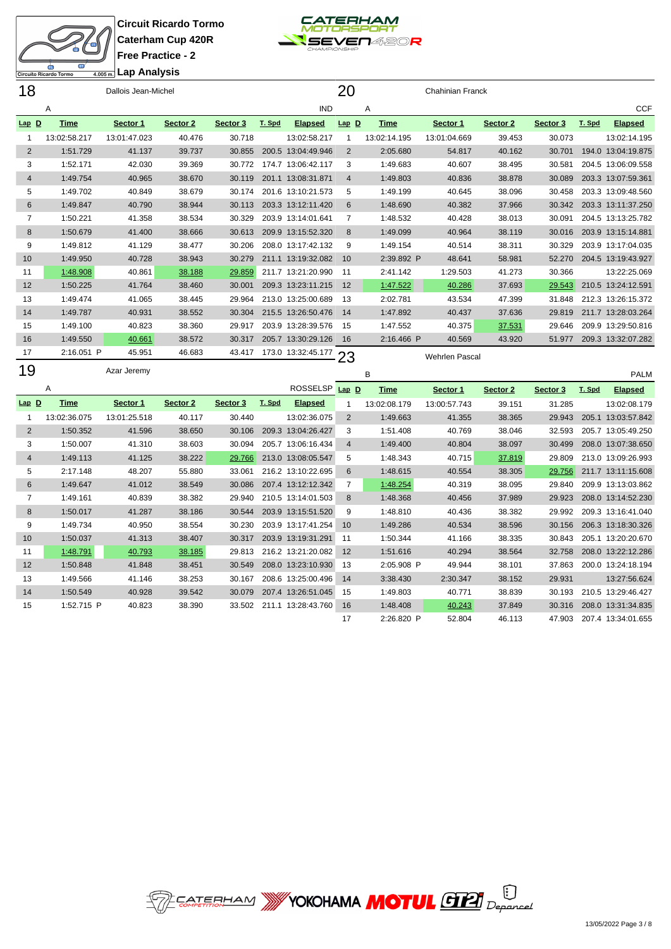



ito Ricardo Tormo

## **Lap Analysis**

| 18                |              | Dallois Jean-Michel |          |          |        |                    | 20             |              | <b>Chahinian Franck</b> |          |          |        |                    |
|-------------------|--------------|---------------------|----------|----------|--------|--------------------|----------------|--------------|-------------------------|----------|----------|--------|--------------------|
|                   | Α            |                     |          |          |        | <b>IND</b>         |                | Α            |                         |          |          |        | <b>CCF</b>         |
| <u>Lap D</u>      | <b>Time</b>  | Sector 1            | Sector 2 | Sector 3 | T. Spd | <b>Elapsed</b>     | $Lap$ D        | <b>Time</b>  | Sector 1                | Sector 2 | Sector 3 | T. Spd | <b>Elapsed</b>     |
|                   | 13:02:58.217 | 13:01:47.023        | 40.476   | 30.718   |        | 13:02:58.217       |                | 13:02:14.195 | 13:01:04.669            | 39.453   | 30.073   |        | 13:02:14.195       |
| 2                 | 1:51.729     | 41.137              | 39.737   | 30.855   | 200.5  | 13:04:49.946       | 2              | 2:05.680     | 54.817                  | 40.162   | 30.701   | 194.0  | 13:04:19.875       |
| 3                 | 1:52.171     | 42.030              | 39.369   | 30.772   | 174.7  | 13:06:42.117       | 3              | 1:49.683     | 40.607                  | 38.495   | 30.581   |        | 204.5 13:06:09.558 |
| 4                 | 1:49.754     | 40.965              | 38.670   | 30.119   | 201.1  | 13:08:31.871       | $\overline{4}$ | 1:49.803     | 40.836                  | 38.878   | 30.089   |        | 203.3 13:07:59.361 |
| 5                 | 1:49.702     | 40.849              | 38.679   | 30.174   |        | 201.6 13:10:21.573 | 5              | 1:49.199     | 40.645                  | 38.096   | 30.458   |        | 203.3 13:09:48.560 |
| 6                 | 1:49.847     | 40.790              | 38.944   | 30.113   |        | 203.3 13:12:11.420 | 6              | 1:48.690     | 40.382                  | 37.966   | 30.342   |        | 203.3 13:11:37.250 |
| 7                 | 1:50.221     | 41.358              | 38.534   | 30.329   |        | 203.9 13:14:01.641 | 7              | 1:48.532     | 40.428                  | 38.013   | 30.091   |        | 204.5 13:13:25.782 |
| 8                 | 1:50.679     | 41.400              | 38.666   | 30.613   |        | 209.9 13:15:52.320 | 8              | 1:49.099     | 40.964                  | 38.119   | 30.016   |        | 203.9 13:15:14.881 |
| 9                 | 1:49.812     | 41.129              | 38.477   | 30.206   |        | 208.0 13:17:42.132 | 9              | 1:49.154     | 40.514                  | 38.311   | 30.329   |        | 203.9 13:17:04.035 |
| 10                | 1:49.950     | 40.728              | 38.943   | 30.279   |        | 211.1 13:19:32.082 | 10             | 2:39.892 P   | 48.641                  | 58.981   | 52.270   |        | 204.5 13:19:43.927 |
| 11                | 1:48.908     | 40.861              | 38.188   | 29.859   |        | 211.7 13:21:20.990 | 11             | 2:41.142     | 1:29.503                | 41.273   | 30.366   |        | 13:22:25.069       |
| $12 \overline{ }$ | 1:50.225     | 41.764              | 38.460   | 30.001   |        | 209.3 13:23:11.215 | 12             | 1:47.522     | 40.286                  | 37.693   | 29.543   |        | 210.5 13:24:12.591 |
| 13                | 1:49.474     | 41.065              | 38.445   | 29.964   |        | 213.0 13:25:00.689 | 13             | 2:02.781     | 43.534                  | 47.399   | 31.848   |        | 212.3 13:26:15.372 |
| 14                | 1:49.787     | 40.931              | 38.552   | 30.304   |        | 215.5 13:26:50.476 | 14             | 1:47.892     | 40.437                  | 37.636   | 29.819   |        | 211.7 13:28:03.264 |
| 15                | 1:49.100     | 40.823              | 38.360   | 29.917   | 203.9  | 13:28:39.576       | 15             | 1:47.552     | 40.375                  | 37.531   | 29.646   |        | 209.9 13:29:50.816 |
| 16                | 1:49.550     | 40.661              | 38.572   | 30.317   |        | 205.7 13:30:29.126 | 16             | 2:16.466 P   | 40.569                  | 43.920   | 51.977   |        | 209.3 13:32:07.282 |
| 17                | 2:16.051 P   | 45.951              | 46.683   | 43.417   |        | 173.0 13:32:45.177 | 23             |              | <b>Wehrlen Pascal</b>   |          |          |        |                    |

| 19             |              | Azar Jeremy  |          |          |        |                    |           | в            |              |          |          |        | <b>PALM</b>        |
|----------------|--------------|--------------|----------|----------|--------|--------------------|-----------|--------------|--------------|----------|----------|--------|--------------------|
|                | Α            |              |          |          |        | <b>ROSSELSP</b>    | $Lap$ $D$ | Time         | Sector 1     | Sector 2 | Sector 3 | T. Spd | <b>Elapsed</b>     |
| $Lap$ D        | <b>Time</b>  | Sector 1     | Sector 2 | Sector 3 | T. Spd | <b>Elapsed</b>     |           | 13:02:08.179 | 13:00:57.743 | 39.151   | 31.285   |        | 13:02:08.179       |
|                | 13:02:36.075 | 13:01:25.518 | 40.117   | 30.440   |        | 13:02:36.075       | 2         | 1:49.663     | 41.355       | 38.365   | 29.943   | 205.1  | 13:03:57.842       |
| $\overline{2}$ | 1:50.352     | 41.596       | 38.650   | 30.106   | 209.3  | 13:04:26.427       | 3         | 1:51.408     | 40.769       | 38.046   | 32.593   | 205.7  | 13:05:49.250       |
| 3              | 1:50.007     | 41.310       | 38.603   | 30.094   | 205.7  | 13:06:16.434       | 4         | 1:49.400     | 40.804       | 38.097   | 30.499   | 208.0  | 13:07:38.650       |
| 4              | 1:49.113     | 41.125       | 38.222   | 29.766   |        | 213.0 13:08:05.547 | 5         | 1:48.343     | 40.715       | 37.819   | 29.809   |        | 213.0 13:09:26.993 |
| 5              | 2:17.148     | 48.207       | 55.880   | 33.061   | 216.2  | 13:10:22.695       | 6         | 1:48.615     | 40.554       | 38.305   | 29.756   |        | 211.7 13:11:15.608 |
| 6              | 1:49.647     | 41.012       | 38.549   | 30.086   |        | 207.4 13:12:12.342 |           | 1:48.254     | 40.319       | 38.095   | 29.840   | 209.9  | 13:13:03.862       |
| 7              | 1:49.161     | 40.839       | 38.382   | 29.940   | 210.5  | 13:14:01.503       | 8         | 1:48.368     | 40.456       | 37.989   | 29.923   |        | 208.0 13:14:52.230 |
| 8              | 1:50.017     | 41.287       | 38.186   | 30.544   |        | 203.9 13:15:51.520 | 9         | 1:48.810     | 40.436       | 38.382   | 29.992   |        | 209.3 13:16:41.040 |
| 9              | 1:49.734     | 40.950       | 38.554   | 30.230   | 203.9  | 13:17:41.254       | 10        | 1:49.286     | 40.534       | 38.596   | 30.156   |        | 206.3 13:18:30.326 |
| 10             | 1:50.037     | 41.313       | 38.407   | 30.317   |        | 203.9 13:19:31.291 | 11        | 1:50.344     | 41.166       | 38.335   | 30.843   | 205.1  | 13:20:20.670       |
| 11             | 1:48.791     | 40.793       | 38.185   | 29.813   |        | 216.2 13:21:20.082 | 12        | 1:51.616     | 40.294       | 38.564   | 32.758   |        | 208.0 13:22:12.286 |
| 12             | 1:50.848     | 41.848       | 38.451   | 30.549   |        | 208.0 13:23:10.930 | 13        | 2:05.908 P   | 49.944       | 38.101   | 37.863   | 200.0  | 13:24:18.194       |
| 13             | 1:49.566     | 41.146       | 38.253   | 30.167   | 208.6  | 13:25:00.496       | 14        | 3:38.430     | 2:30.347     | 38.152   | 29.931   |        | 13:27:56.624       |
| 14             | 1:50.549     | 40.928       | 39.542   | 30.079   |        | 207.4 13:26:51.045 | 15        | 1:49.803     | 40.771       | 38.839   | 30.193   | 210.5  | 13:29:46.427       |
| 15             | 1:52.715 P   | 40.823       | 38.390   | 33.502   |        | 211.1 13:28:43.760 | 16        | 1:48.408     | 40.243       | 37.849   | 30.316   |        | 208.0 13:31:34.835 |



2:26.820 P 52.804 46.113 47.903 207.4 13:34:01.655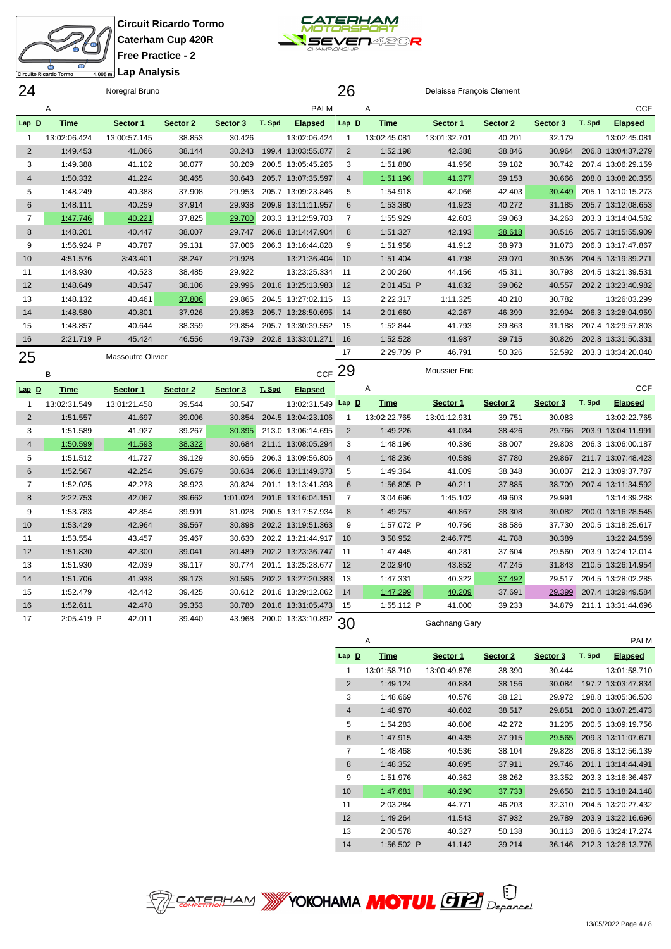

|                | m<br>Circuito Ricardo Tormo | Lap Analysis<br>4.005 m. | $1100$ Figuruc - 2 |          |        |                    |                          |              |                           |          |          |        |                    |
|----------------|-----------------------------|--------------------------|--------------------|----------|--------|--------------------|--------------------------|--------------|---------------------------|----------|----------|--------|--------------------|
| 24             |                             | Noregral Bruno           |                    |          |        |                    | 26                       |              | Delaisse François Clement |          |          |        |                    |
|                | Α                           |                          |                    |          |        | <b>PALM</b>        |                          | A            |                           |          |          |        | <b>CCF</b>         |
| <u>Lap D</u>   | <b>Time</b>                 | Sector 1                 | Sector 2           | Sector 3 | T. Spd | <b>Elapsed</b>     | $Lap$ D                  | Time         | Sector 1                  | Sector 2 | Sector 3 | T. Spd | <b>Elapsed</b>     |
| 1              | 13:02:06.424                | 13:00:57.145             | 38.853             | 30.426   |        | 13:02:06.424       | $\overline{\phantom{a}}$ | 13:02:45.081 | 13:01:32.701              | 40.201   | 32.179   |        | 13:02:45.081       |
| 2              | 1:49.453                    | 41.066                   | 38.144             | 30.243   | 199.4  | 13:03:55.877       | $\overline{2}$           | 1:52.198     | 42.388                    | 38.846   | 30.964   |        | 206.8 13:04:37.279 |
| 3              | 1:49.388                    | 41.102                   | 38.077             | 30.209   |        | 200.5 13:05:45.265 | 3                        | 1:51.880     | 41.956                    | 39.182   | 30.742   |        | 207.4 13:06:29.159 |
| $\overline{4}$ | 1:50.332                    | 41.224                   | 38.465             | 30.643   |        | 205.7 13:07:35.597 | $\overline{4}$           | 1:51.196     | 41.377                    | 39.153   | 30.666   |        | 208.0 13:08:20.355 |
| 5              | 1:48.249                    | 40.388                   | 37.908             | 29.953   |        | 205.7 13:09:23.846 | 5                        | 1:54.918     | 42.066                    | 42.403   | 30.449   |        | 205.1 13:10:15.273 |
| 6              | 1:48.111                    | 40.259                   | 37.914             | 29.938   |        | 209.9 13:11:11.957 | 6                        | 1:53.380     | 41.923                    | 40.272   | 31.185   |        | 205.7 13:12:08.653 |
| 7              | 1:47.746                    | 40.221                   | 37.825             | 29.700   |        | 203.3 13:12:59.703 | 7                        | 1:55.929     | 42.603                    | 39.063   | 34.263   |        | 203.3 13:14:04.582 |
| 8              | 1:48.201                    | 40.447                   | 38.007             | 29.747   |        | 206.8 13:14:47.904 | 8                        | 1:51.327     | 42.193                    | 38.618   | 30.516   |        | 205.7 13:15:55.909 |
| 9              | 1:56.924 P                  | 40.787                   | 39.131             | 37.006   |        | 206.3 13:16:44.828 | 9                        | 1:51.958     | 41.912                    | 38.973   | 31.073   |        | 206.3 13:17:47.867 |
| 10             | 4:51.576                    | 3:43.401                 | 38.247             | 29.928   |        | 13:21:36.404       | 10                       | 1:51.404     | 41.798                    | 39.070   | 30.536   |        | 204.5 13:19:39.271 |
| 11             | 1:48.930                    | 40.523                   | 38.485             | 29.922   |        | 13:23:25.334       | 11                       | 2:00.260     | 44.156                    | 45.311   | 30.793   |        | 204.5 13:21:39.531 |
| 12             | 1:48.649                    | 40.547                   | 38.106             | 29.996   | 201.6  | 13:25:13.983       | 12                       | 2:01.451 P   | 41.832                    | 39.062   | 40.557   |        | 202.2 13:23:40.982 |
| 13             | 1:48.132                    | 40.461                   | 37.806             | 29.865   |        | 204.5 13:27:02.115 | 13                       | 2:22.317     | 1:11.325                  | 40.210   | 30.782   |        | 13:26:03.299       |
| 14             | 1:48.580                    | 40.801                   | 37.926             | 29.853   | 205.7  | 13:28:50.695       | 14                       | 2:01.660     | 42.267                    | 46.399   | 32.994   |        | 206.3 13:28:04.959 |
| 15             | 1:48.857                    | 40.644                   | 38.359             | 29.854   |        | 205.7 13:30:39.552 | 15                       | 1:52.844     | 41.793                    | 39.863   | 31.188   |        | 207.4 13:29:57.803 |
| 16             | 2:21.719 P                  | 45.424                   | 46.556             | 49.739   |        | 202.8 13:33:01.271 | 16                       | 1:52.528     | 41.987                    | 39.715   | 30.826   |        | 202.8 13:31:50.331 |
| 25             |                             | <b>Massoutre Olivier</b> |                    |          |        |                    | 17                       | 2:29.709 P   | 46.791                    | 50.326   | 52.592   |        | 203.3 13:34:20.040 |
|                | B                           |                          |                    |          |        | CCF $29$           |                          |              | <b>Moussier Eric</b>      |          |          |        |                    |
| $Lap$ $D$      | <b>Time</b>                 | Sector 1                 | Sector 2           | Sector 3 | T. Spd | <b>Elapsed</b>     |                          | Α            |                           |          |          |        | <b>CCF</b>         |
|                |                             |                          |                    |          |        |                    | $\sim$ $\sim$            |              |                           |          |          |        |                    |

| <u>Lap D</u>    | rme          | эестог т     | Sector 2 | <b>Sector</b> 3 | <u>1. Spa</u> | <u>Elapsed</u>     |                | $\cdots$     |               |          |          |        | vvi                |
|-----------------|--------------|--------------|----------|-----------------|---------------|--------------------|----------------|--------------|---------------|----------|----------|--------|--------------------|
|                 | 13:02:31.549 | 13:01:21.458 | 39.544   | 30.547          |               | 13:02:31.549       | $Lap$ D        | Time         | Sector 1      | Sector 2 | Sector 3 | T. Spd | <b>Elapsed</b>     |
| 2               | 1:51.557     | 41.697       | 39.006   | 30.854          |               | 204.5 13:04:23.106 |                | 13:02:22.765 | 13:01:12.931  | 39.751   | 30.083   |        | 13:02:22.765       |
| 3               | 1:51.589     | 41.927       | 39.267   | 30.395          |               | 213.0 13:06:14.695 | $\overline{2}$ | 1:49.226     | 41.034        | 38.426   | 29.766   | 203.9  | 13:04:11.991       |
| 4               | 1:50.599     | 41.593       | 38.322   | 30.684          |               | 211.1 13:08:05.294 | 3              | 1:48.196     | 40.386        | 38.007   | 29.803   |        | 206.3 13:06:00.187 |
| 5               | 1:51.512     | 41.727       | 39.129   | 30.656          |               | 206.3 13:09:56.806 | 4              | 1:48.236     | 40.589        | 37.780   | 29.867   |        | 211.7 13:07:48.423 |
| 6               | 1:52.567     | 42.254       | 39.679   | 30.634          |               | 206.8 13:11:49.373 | 5              | 1:49.364     | 41.009        | 38.348   | 30.007   |        | 212.3 13:09:37.787 |
| 7               | 1:52.025     | 42.278       | 38.923   | 30.824          |               | 201.1 13:13:41.398 | 6              | 1:56.805 P   | 40.211        | 37.885   | 38.709   |        | 207.4 13:11:34.592 |
| 8               | 2:22.753     | 42.067       | 39.662   | 1:01.024        |               | 201.6 13:16:04.151 |                | 3:04.696     | 1:45.102      | 49.603   | 29.991   |        | 13:14:39.288       |
| 9               | 1:53.783     | 42.854       | 39.901   | 31.028          |               | 200.5 13:17:57.934 | 8              | 1:49.257     | 40.867        | 38.308   | 30.082   |        | 200.0 13:16:28.545 |
| 10 <sup>°</sup> | 1:53.429     | 42.964       | 39.567   | 30.898          |               | 202.2 13:19:51.363 | 9              | 1:57.072 P   | 40.756        | 38.586   | 37.730   | 200.5  | 13:18:25.617       |
| 11              | 1:53.554     | 43.457       | 39.467   | 30.630          |               | 202.2 13:21:44.917 | 10             | 3:58.952     | 2:46.775      | 41.788   | 30.389   |        | 13:22:24.569       |
| 12              | 1:51.830     | 42.300       | 39.041   | 30.489          |               | 202.2 13:23:36.747 | 11             | 1:47.445     | 40.281        | 37.604   | 29.560   | 203.9  | 13:24:12.014       |
| 13              | 1:51.930     | 42.039       | 39.117   | 30.774          | 201.1         | 13:25:28.677       | 12             | 2:02.940     | 43.852        | 47.245   | 31.843   |        | 210.5 13:26:14.954 |
| 14              | 1:51.706     | 41.938       | 39.173   | 30.595          |               | 202.2 13:27:20.383 | 13             | 1:47.331     | 40.322        | 37.492   | 29.517   |        | 204.5 13:28:02.285 |
| 15              | 1:52.479     | 42.442       | 39.425   | 30.612          |               | 201.6 13:29:12.862 | 14             | 1:47.299     | 40.209        | 37.691   | 29.399   |        | 207.4 13:29:49.584 |
| 16              | 1:52.611     | 42.478       | 39.353   | 30.780          |               | 201.6 13:31:05.473 | 15             | 1:55.112 P   | 41.000        | 39.233   | 34.879   |        | 211.1 13:31:44.696 |
| 17              | 2:05.419 P   | 42.011       | 39.440   | 43.968          |               | 200.0 13:33:10.892 | 30             |              | Gachnang Gary |          |          |        |                    |

|                | A            |              |          |          |        | <b>PALM</b>        |
|----------------|--------------|--------------|----------|----------|--------|--------------------|
| $Lap$ $D$      | <b>Time</b>  | Sector 1     | Sector 2 | Sector 3 | T. Spd | <b>Elapsed</b>     |
| 1              | 13:01:58.710 | 13:00:49.876 | 38.390   | 30.444   |        | 13:01:58.710       |
| 2              | 1:49.124     | 40.884       | 38.156   | 30.084   | 197.2  | 13:03:47.834       |
| 3              | 1:48.669     | 40.576       | 38.121   | 29.972   | 198.8  | 13:05:36.503       |
| $\overline{4}$ | 1:48.970     | 40.602       | 38.517   | 29.851   | 200.0  | 13:07:25.473       |
| 5              | 1:54.283     | 40.806       | 42.272   | 31.205   | 200.5  | 13:09:19.756       |
| 6              | 1:47.915     | 40.435       | 37.915   | 29.565   |        | 209.3 13:11:07.671 |
| 7              | 1:48.468     | 40.536       | 38.104   | 29.828   | 206.8  | 13:12:56.139       |
| 8              | 1:48.352     | 40.695       | 37.911   | 29.746   | 201.1  | 13:14:44.491       |
| 9              | 1:51.976     | 40.362       | 38.262   | 33.352   | 203.3  | 13:16:36.467       |
| 10             | 1:47.681     | 40.290       | 37.733   | 29.658   |        | 210.5 13:18:24.148 |
| 11             | 2:03.284     | 44.771       | 46.203   | 32.310   | 204.5  | 13:20:27.432       |
| 12             | 1:49.264     | 41.543       | 37.932   | 29.789   | 203.9  | 13:22:16.696       |
| 13             | 2:00.578     | 40.327       | 50.138   | 30.113   | 208.6  | 13:24:17.274       |
| 14             | 1:56.502 P   | 41.142       | 39.214   | 36.146   | 212.3  | 13:26:13.776       |

**SEP EATERHAM WY YOKOHAMA MOTUL GELL** Deparced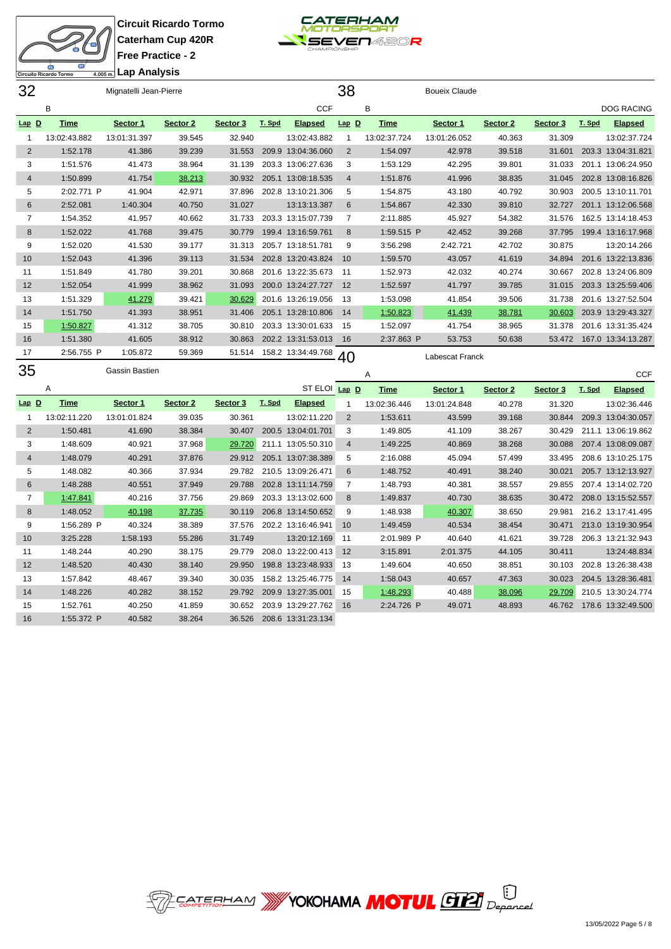



**Lap Analysis**

| 32             | Mignatelli Jean-Pierre |                |          |          |        |                    | 38             |              | <b>Boueix Claude</b> |          |          |        |                    |
|----------------|------------------------|----------------|----------|----------|--------|--------------------|----------------|--------------|----------------------|----------|----------|--------|--------------------|
|                | B                      |                |          |          |        | <b>CCF</b>         |                | В            |                      |          |          |        | <b>DOG RACING</b>  |
| $Lap$ D        | <b>Time</b>            | Sector 1       | Sector 2 | Sector 3 | T. Spd | <b>Elapsed</b>     | $Lap$ D        | <b>Time</b>  | Sector 1             | Sector 2 | Sector 3 | T. Spd | <b>Elapsed</b>     |
|                | 13:02:43.882           | 13:01:31.397   | 39.545   | 32.940   |        | 13:02:43.882       |                | 13:02:37.724 | 13:01:26.052         | 40.363   | 31.309   |        | 13:02:37.724       |
| $\overline{2}$ | 1:52.178               | 41.386         | 39.239   | 31.553   | 209.9  | 13:04:36.060       | 2              | 1:54.097     | 42.978               | 39.518   | 31.601   | 203.3  | 13:04:31.821       |
| 3              | 1:51.576               | 41.473         | 38.964   | 31.139   |        | 203.3 13:06:27.636 | 3              | 1:53.129     | 42.295               | 39.801   | 31.033   |        | 201.1 13:06:24.950 |
| 4              | 1:50.899               | 41.754         | 38.213   | 30.932   |        | 205.1 13:08:18.535 | $\overline{4}$ | 1:51.876     | 41.996               | 38.835   | 31.045   |        | 202.8 13:08:16.826 |
| 5              | 2:02.771 P             | 41.904         | 42.971   | 37.896   | 202.8  | 13:10:21.306       | 5              | 1:54.875     | 43.180               | 40.792   | 30.903   |        | 200.5 13:10:11.701 |
| 6              | 2:52.081               | 1:40.304       | 40.750   | 31.027   |        | 13:13:13.387       | 6              | 1:54.867     | 42.330               | 39.810   | 32.727   |        | 201.1 13:12:06.568 |
| 7              | 1:54.352               | 41.957         | 40.662   | 31.733   |        | 203.3 13:15:07.739 | 7              | 2:11.885     | 45.927               | 54.382   | 31.576   |        | 162.5 13:14:18.453 |
| 8              | 1:52.022               | 41.768         | 39.475   | 30.779   |        | 199.4 13:16:59.761 | 8              | 1:59.515 P   | 42.452               | 39.268   | 37.795   |        | 199.4 13:16:17.968 |
| 9              | 1:52.020               | 41.530         | 39.177   | 31.313   |        | 205.7 13:18:51.781 | 9              | 3:56.298     | 2:42.721             | 42.702   | 30.875   |        | 13:20:14.266       |
| 10             | 1:52.043               | 41.396         | 39.113   | 31.534   |        | 202.8 13:20:43.824 | 10             | 1:59.570     | 43.057               | 41.619   | 34.894   |        | 201.6 13:22:13.836 |
| 11             | 1:51.849               | 41.780         | 39.201   | 30.868   |        | 201.6 13:22:35.673 | 11             | 1:52.973     | 42.032               | 40.274   | 30.667   |        | 202.8 13:24:06.809 |
| 12             | 1:52.054               | 41.999         | 38.962   | 31.093   |        | 200.0 13:24:27.727 | 12             | 1:52.597     | 41.797               | 39.785   | 31.015   |        | 203.3 13:25:59.406 |
| 13             | 1:51.329               | 41.279         | 39.421   | 30.629   |        | 201.6 13:26:19.056 | 13             | 1:53.098     | 41.854               | 39.506   | 31.738   |        | 201.6 13:27:52.504 |
| 14             | 1:51.750               | 41.393         | 38.951   | 31.406   |        | 205.1 13:28:10.806 | 14             | 1:50.823     | 41.439               | 38.781   | 30.603   |        | 203.9 13:29:43.327 |
| 15             | 1:50.827               | 41.312         | 38.705   | 30.810   |        | 203.3 13:30:01.633 | 15             | 1:52.097     | 41.754               | 38.965   | 31.378   |        | 201.6 13:31:35.424 |
| 16             | 1:51.380               | 41.605         | 38.912   | 30.863   |        | 202.2 13:31:53.013 | 16             | 2:37.863 P   | 53.753               | 50.638   | 53.472   |        | 167.0 13:34:13.287 |
| 17             | 2:56.755 P             | 1:05.872       | 59.369   | 51.514   |        | 158.2 13:34:49.768 | 40             |              | Labescat Franck      |          |          |        |                    |
| 35             |                        | Gassin Bastien |          |          |        |                    |                | $\Lambda$    |                      |          |          |        | CCE                |

| ບບ             |              | Uassii Dasu <del>c</del> ii |          |          |        |                    |           | Α            |              |          |          |        | <b>CCF</b>         |
|----------------|--------------|-----------------------------|----------|----------|--------|--------------------|-----------|--------------|--------------|----------|----------|--------|--------------------|
|                | Α            |                             |          |          |        | <b>ST ELOI</b>     | $Lap$ $D$ | <b>Time</b>  | Sector 1     | Sector 2 | Sector 3 | T. Spd | <b>Elapsed</b>     |
| $Lap$ D        | Time         | Sector 1                    | Sector 2 | Sector 3 | T. Spd | <b>Elapsed</b>     |           | 13:02:36.446 | 13:01:24.848 | 40.278   | 31.320   |        | 13:02:36.446       |
|                | 13:02:11.220 | 13:01:01.824                | 39.035   | 30.361   |        | 13:02:11.220       | 2         | 1:53.611     | 43.599       | 39.168   | 30.844   |        | 209.3 13:04:30.057 |
| 2              | 1:50.481     | 41.690                      | 38.384   | 30.407   | 200.5  | 13:04:01.701       | 3         | 1:49.805     | 41.109       | 38.267   | 30.429   | 211.1  | 13:06:19.862       |
| 3              | 1:48.609     | 40.921                      | 37.968   | 29.720   | 211.1  | 13:05:50.310       | 4         | 1:49.225     | 40.869       | 38.268   | 30.088   |        | 207.4 13:08:09.087 |
| $\overline{4}$ | 1:48.079     | 40.291                      | 37.876   | 29.912   | 205.1  | 13:07:38.389       | 5         | 2:16.088     | 45.094       | 57.499   | 33.495   |        | 208.6 13:10:25.175 |
| 5              | 1:48.082     | 40.366                      | 37.934   | 29.782   |        | 210.5 13:09:26.471 | 6         | 1:48.752     | 40.491       | 38.240   | 30.021   |        | 205.7 13:12:13.927 |
| 6              | 1:48.288     | 40.551                      | 37.949   | 29.788   |        | 202.8 13:11:14.759 |           | 1:48.793     | 40.381       | 38.557   | 29.855   |        | 207.4 13:14:02.720 |
| 7              | 1:47.841     | 40.216                      | 37.756   | 29.869   |        | 203.3 13:13:02.600 | 8         | 1:49.837     | 40.730       | 38.635   | 30.472   |        | 208.0 13:15:52.557 |
| 8              | 1:48.052     | 40.198                      | 37.735   | 30.119   |        | 206.8 13:14:50.652 | 9         | 1:48.938     | 40.307       | 38.650   | 29.981   |        | 216.2 13:17:41.495 |
| 9              | 1:56.289 P   | 40.324                      | 38.389   | 37.576   | 202.2  | 13:16:46.941       | 10        | 1:49.459     | 40.534       | 38.454   | 30.471   |        | 213.0 13:19:30.954 |
| 10             | 3:25.228     | 1:58.193                    | 55.286   | 31.749   |        | 13:20:12.169       | 11        | 2:01.989 P   | 40.640       | 41.621   | 39.728   |        | 206.3 13:21:32.943 |
| 11             | 1:48.244     | 40.290                      | 38.175   | 29.779   | 208.0  | 13:22:00.413       | 12        | 3:15.891     | 2:01.375     | 44.105   | 30.411   |        | 13:24:48.834       |
| 12             | 1:48.520     | 40.430                      | 38.140   | 29.950   |        | 198.8 13:23:48.933 | 13        | 1:49.604     | 40.650       | 38.851   | 30.103   |        | 202.8 13:26:38.438 |
| 13             | 1:57.842     | 48.467                      | 39.340   | 30.035   |        | 158.2 13:25:46.775 | 14        | 1:58.043     | 40.657       | 47.363   | 30.023   |        | 204.5 13:28:36.481 |
| 14             | 1:48.226     | 40.282                      | 38.152   | 29.792   |        | 209.9 13:27:35.001 | 15        | 1:48.293     | 40.488       | 38.096   | 29.709   |        | 210.5 13:30:24.774 |
| 15             | 1:52.761     | 40.250                      | 41.859   | 30.652   | 203.9  | 13:29:27.762       | 16        | 2:24.726 P   | 49.071       | 48.893   | 46.762   |        | 178.6 13:32:49.500 |
| 16             | 1:55.372 P   | 40.582                      | 38.264   | 36.526   | 208.6  | 13:31:23.134       |           |              |              |          |          |        |                    |

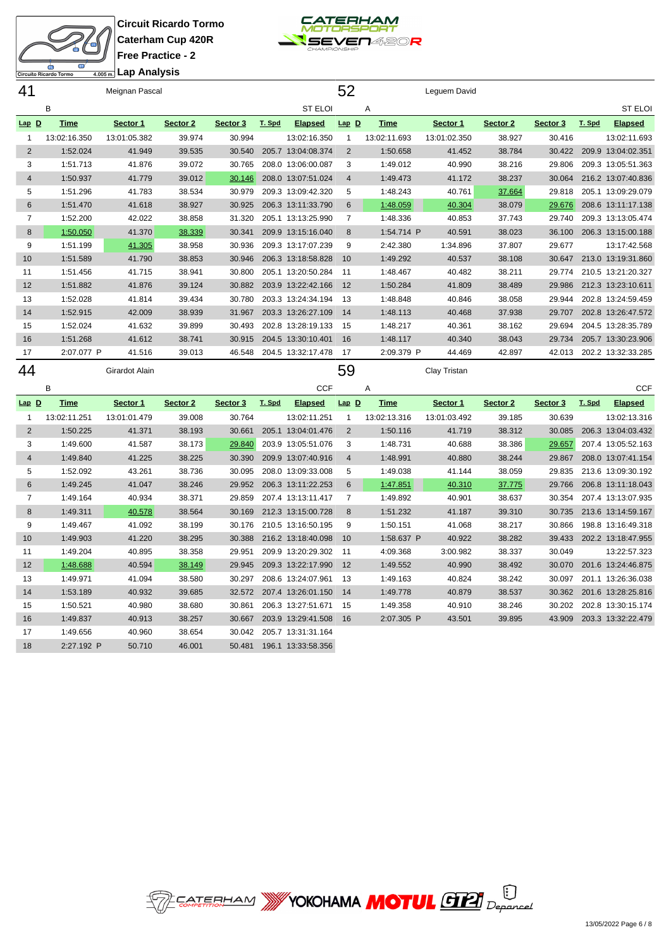



| <del>‱</del> Lap Analysis |  |  |  |  |  |
|---------------------------|--|--|--|--|--|

| 41             |              | Meignan Pascal |          |          |        |                    | 52             |              | Leguem David |          |          |        |                    |
|----------------|--------------|----------------|----------|----------|--------|--------------------|----------------|--------------|--------------|----------|----------|--------|--------------------|
|                | B            |                |          |          |        | <b>ST ELOI</b>     |                | Α            |              |          |          |        | <b>ST ELOI</b>     |
| $Lap$ $D$      | <b>Time</b>  | Sector 1       | Sector 2 | Sector 3 | T. Spd | <b>Elapsed</b>     | $Lap$ $D$      | <b>Time</b>  | Sector 1     | Sector 2 | Sector 3 | T. Spd | <b>Elapsed</b>     |
| $\mathbf{1}$   | 13:02:16.350 | 13:01:05.382   | 39.974   | 30.994   |        | 13:02:16.350       | $\mathbf{1}$   | 13:02:11.693 | 13:01:02.350 | 38.927   | 30.416   |        | 13:02:11.693       |
| $\overline{2}$ | 1:52.024     | 41.949         | 39.535   | 30.540   |        | 205.7 13:04:08.374 | 2              | 1:50.658     | 41.452       | 38.784   | 30.422   |        | 209.9 13:04:02.351 |
| 3              | 1:51.713     | 41.876         | 39.072   | 30.765   |        | 208.0 13:06:00.087 | 3              | 1:49.012     | 40.990       | 38.216   | 29.806   |        | 209.3 13:05:51.363 |
| $\overline{4}$ | 1:50.937     | 41.779         | 39.012   | 30.146   |        | 208.0 13:07:51.024 | $\overline{4}$ | 1:49.473     | 41.172       | 38.237   | 30.064   |        | 216.2 13:07:40.836 |
| 5              | 1:51.296     | 41.783         | 38.534   | 30.979   |        | 209.3 13:09:42.320 | 5              | 1:48.243     | 40.761       | 37.664   | 29.818   |        | 205.1 13:09:29.079 |
| 6              | 1:51.470     | 41.618         | 38.927   | 30.925   |        | 206.3 13:11:33.790 | 6              | 1:48.059     | 40.304       | 38.079   | 29.676   |        | 208.6 13:11:17.138 |
| $\overline{7}$ | 1:52.200     | 42.022         | 38.858   | 31.320   |        | 205.1 13:13:25.990 | $\overline{7}$ | 1:48.336     | 40.853       | 37.743   | 29.740   |        | 209.3 13:13:05.474 |
| 8              | 1:50.050     | 41.370         | 38.339   | 30.341   |        | 209.9 13:15:16.040 | 8              | 1:54.714 P   | 40.591       | 38.023   | 36.100   |        | 206.3 13:15:00.188 |
| 9              | 1:51.199     | 41.305         | 38.958   | 30.936   |        | 209.3 13:17:07.239 | 9              | 2:42.380     | 1:34.896     | 37.807   | 29.677   |        | 13:17:42.568       |
| 10             | 1:51.589     | 41.790         | 38.853   | 30.946   |        | 206.3 13:18:58.828 | 10             | 1:49.292     | 40.537       | 38.108   | 30.647   |        | 213.0 13:19:31.860 |
| 11             | 1:51.456     | 41.715         | 38.941   | 30.800   |        | 205.1 13:20:50.284 | 11             | 1:48.467     | 40.482       | 38.211   | 29.774   |        | 210.5 13:21:20.327 |
| 12             | 1:51.882     | 41.876         | 39.124   | 30.882   |        | 203.9 13:22:42.166 | 12             | 1:50.284     | 41.809       | 38.489   | 29.986   |        | 212.3 13:23:10.611 |
| 13             | 1:52.028     | 41.814         | 39.434   | 30.780   |        | 203.3 13:24:34.194 | 13             | 1:48.848     | 40.846       | 38.058   | 29.944   |        | 202.8 13:24:59.459 |
| 14             | 1:52.915     | 42.009         | 38.939   | 31.967   |        | 203.3 13:26:27.109 | 14             | 1:48.113     | 40.468       | 37.938   | 29.707   |        | 202.8 13:26:47.572 |
| 15             | 1:52.024     | 41.632         | 39.899   | 30.493   |        | 202.8 13:28:19.133 | 15             | 1:48.217     | 40.361       | 38.162   | 29.694   |        | 204.5 13:28:35.789 |
| 16             | 1:51.268     | 41.612         | 38.741   | 30.915   |        | 204.5 13:30:10.401 | 16             | 1:48.117     | 40.340       | 38.043   | 29.734   |        | 205.7 13:30:23.906 |
| 17             | 2:07.077 P   | 41.516         | 39.013   | 46.548   |        | 204.5 13:32:17.478 | 17             | 2:09.379 P   | 44.469       | 42.897   | 42.013   |        | 202.2 13:32:33.285 |
| 44             |              | Girardot Alain |          |          |        |                    | 59             |              | Clay Tristan |          |          |        |                    |
|                | B            |                |          |          |        | <b>CCF</b>         |                | A            |              |          |          |        | <b>CCF</b>         |
| Lap D          | <b>Time</b>  | Sector 1       | Sector 2 | Sector 3 | T. Spd | <b>Elapsed</b>     | $Lap$ D        | <b>Time</b>  | Sector 1     | Sector 2 | Sector 3 | T. Spd | <b>Elapsed</b>     |
| $\mathbf{1}$   | 13:02:11.251 | 13:01:01.479   | 39.008   | 30.764   |        | 13:02:11.251       |                |              | 13:01:03.492 | 39.185   | 30.639   |        | 13:02:13.316       |
| $\overline{2}$ | 1:50.225     |                |          |          |        |                    | $\mathbf{1}$   | 13:02:13.316 |              |          |          |        | 206.3 13:04:03.432 |
| 3              |              | 41.371         | 38.193   | 30.661   |        | 205.1 13:04:01.476 | 2              | 1:50.116     | 41.719       | 38.312   | 30.085   |        |                    |
| $\overline{4}$ | 1:49.600     | 41.587         | 38.173   | 29.840   |        | 203.9 13:05:51.076 | 3              | 1:48.731     | 40.688       | 38.386   | 29.657   |        | 207.4 13:05:52.163 |
|                | 1:49.840     | 41.225         | 38.225   | 30.390   |        | 209.9 13:07:40.916 | $\overline{4}$ | 1:48.991     | 40.880       | 38.244   | 29.867   |        | 208.0 13:07:41.154 |
| 5              | 1:52.092     | 43.261         | 38.736   | 30.095   |        | 208.0 13:09:33.008 | 5              | 1:49.038     | 41.144       | 38.059   | 29.835   |        | 213.6 13:09:30.192 |
| 6              | 1:49.245     | 41.047         | 38.246   | 29.952   |        | 206.3 13:11:22.253 | 6              | 1:47.851     | 40.310       | 37.775   | 29.766   |        | 206.8 13:11:18.043 |
| $\overline{7}$ | 1:49.164     | 40.934         | 38.371   | 29.859   |        | 207.4 13:13:11.417 | $\overline{7}$ | 1:49.892     | 40.901       | 38.637   | 30.354   |        | 207.4 13:13:07.935 |
| 8              | 1:49.311     | 40.578         | 38.564   | 30.169   |        | 212.3 13:15:00.728 | 8              | 1:51.232     | 41.187       | 39.310   | 30.735   |        | 213.6 13:14:59.167 |
| 9              | 1:49.467     | 41.092         | 38.199   | 30.176   |        | 210.5 13:16:50.195 | 9              | 1:50.151     | 41.068       | 38.217   | 30.866   |        | 198.8 13:16:49.318 |
| 10             | 1:49.903     | 41.220         | 38.295   | 30.388   |        | 216.2 13:18:40.098 | 10             | 1:58.637 P   | 40.922       | 38.282   | 39.433   |        | 202.2 13:18:47.955 |
| 11             | 1:49.204     | 40.895         | 38.358   | 29.951   |        | 209.9 13:20:29.302 | 11             | 4:09.368     | 3:00.982     | 38.337   | 30.049   |        | 13:22:57.323       |
| 12             | 1:48.688     | 40.594         | 38.149   | 29.945   |        | 209.3 13:22:17.990 | 12             | 1:49.552     | 40.990       | 38.492   | 30.070   |        | 201.6 13:24:46.875 |
| 13             | 1:49.971     | 41.094         | 38.580   | 30.297   |        | 208.6 13:24:07.961 | 13             | 1:49.163     | 40.824       | 38.242   | 30.097   |        | 201.1 13:26:36.038 |
| 14             | 1:53.189     | 40.932         | 39.685   | 32.572   |        | 207.4 13:26:01.150 | 14             | 1:49.778     | 40.879       | 38.537   | 30.362   |        | 201.6 13:28:25.816 |
| 15             | 1:50.521     | 40.980         | 38.680   | 30.861   |        | 206.3 13:27:51.671 | 15             | 1:49.358     | 40.910       | 38.246   | 30.202   |        | 202.8 13:30:15.174 |
| 16             | 1:49.837     | 40.913         | 38.257   | 30.667   |        | 203.9 13:29:41.508 | 16             | 2:07.305 P   | 43.501       | 39.895   | 43.909   |        | 203.3 13:32:22.479 |
| 17             | 1:49.656     | 40.960         | 38.654   | 30.042   |        | 205.7 13:31:31.164 |                |              |              |          |          |        |                    |

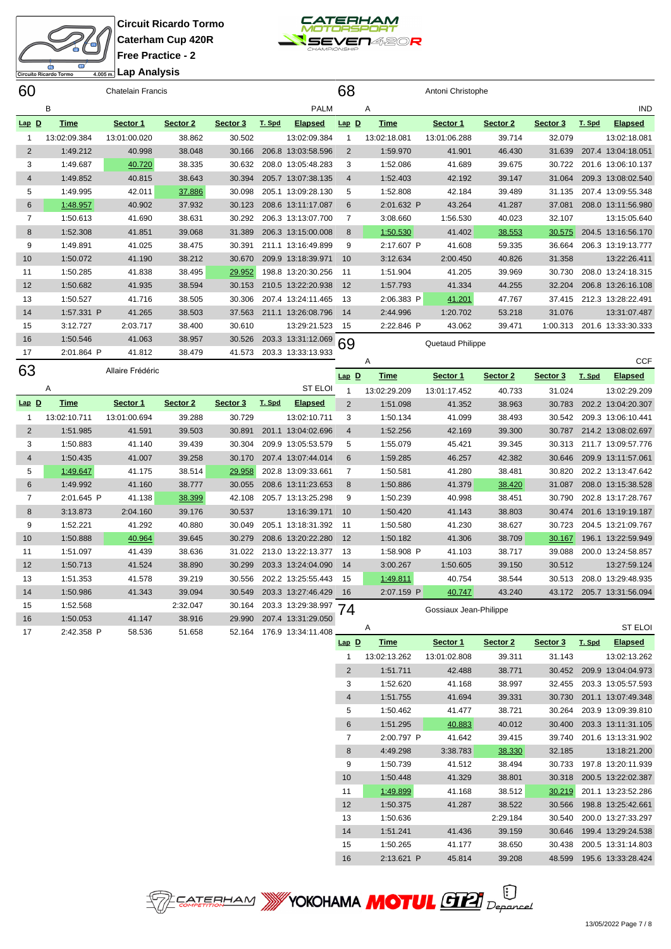

|                | <b>ST</b><br>Φ<br>Circuito Ricardo Tormo | Lap Analysis<br>4.005 m. |          |          |        |                    |                |              |                   |          |          |        |                    |
|----------------|------------------------------------------|--------------------------|----------|----------|--------|--------------------|----------------|--------------|-------------------|----------|----------|--------|--------------------|
| 60             |                                          | Chatelain Francis        |          |          |        |                    | 68             |              | Antoni Christophe |          |          |        |                    |
|                | B                                        |                          |          |          |        | <b>PALM</b>        |                | Α            |                   |          |          |        | <b>IND</b>         |
| $Lap$ $D$      | <b>Time</b>                              | Sector 1                 | Sector 2 | Sector 3 | T. Spd | <b>Elapsed</b>     | $Lap$ $D$      | <b>Time</b>  | Sector 1          | Sector 2 | Sector 3 | T. Spd | <b>Elapsed</b>     |
| 1              | 13:02:09.384                             | 13:01:00.020             | 38.862   | 30.502   |        | 13:02:09.384       | 1              | 13:02:18.081 | 13:01:06.288      | 39.714   | 32.079   |        | 13:02:18.081       |
| $\overline{2}$ | 1:49.212                                 | 40.998                   | 38.048   | 30.166   |        | 206.8 13:03:58.596 | 2              | 1:59.970     | 41.901            | 46.430   | 31.639   |        | 207.4 13:04:18.051 |
| 3              | 1:49.687                                 | 40.720                   | 38.335   | 30.632   |        | 208.0 13:05:48.283 | 3              | 1:52.086     | 41.689            | 39.675   | 30.722   |        | 201.6 13:06:10.137 |
| $\overline{4}$ | 1:49.852                                 | 40.815                   | 38.643   | 30.394   |        | 205.7 13:07:38.135 | $\overline{4}$ | 1:52.403     | 42.192            | 39.147   | 31.064   |        | 209.3 13:08:02.540 |
| 5              | 1:49.995                                 | 42.011                   | 37.886   | 30.098   |        | 205.1 13:09:28.130 | 5              | 1:52.808     | 42.184            | 39.489   | 31.135   |        | 207.4 13:09:55.348 |
| 6              | 1:48.957                                 | 40.902                   | 37.932   | 30.123   |        | 208.6 13:11:17.087 | 6              | 2:01.632 P   | 43.264            | 41.287   | 37.081   |        | 208.0 13:11:56.980 |
| $\overline{7}$ | 1:50.613                                 | 41.690                   | 38.631   | 30.292   |        | 206.3 13:13:07.700 | 7              | 3:08.660     | 1:56.530          | 40.023   | 32.107   |        | 13:15:05.640       |
| 8              | 1:52.308                                 | 41.851                   | 39.068   | 31.389   |        | 206.3 13:15:00.008 | 8              | 1:50.530     | 41.402            | 38.553   | 30.575   |        | 204.5 13:16:56.170 |
| 9              | 1:49.891                                 | 41.025                   | 38.475   | 30.391   |        | 211.1 13:16:49.899 | 9              | 2:17.607 P   | 41.608            | 59.335   | 36.664   |        | 206.3 13:19:13.777 |
| 10             | 1:50.072                                 | 41.190                   | 38.212   | 30.670   |        | 209.9 13:18:39.971 | 10             | 3:12.634     | 2:00.450          | 40.826   | 31.358   |        | 13:22:26.411       |
| 11             | 1:50.285                                 | 41.838                   | 38.495   | 29.952   |        | 198.8 13:20:30.256 | 11             | 1:51.904     | 41.205            | 39.969   | 30.730   |        | 208.0 13:24:18.315 |
| 12             | 1:50.682                                 | 41.935                   | 38.594   | 30.153   |        | 210.5 13:22:20.938 | 12             | 1:57.793     | 41.334            | 44.255   | 32.204   |        | 206.8 13:26:16.108 |
| 13             | 1:50.527                                 | 41.716                   | 38.505   | 30.306   |        | 207.4 13:24:11.465 | 13             | 2:06.383 P   | 41.201            | 47.767   | 37.415   |        | 212.3 13:28:22.491 |
| 14             | 1:57.331 P                               | 41.265                   | 38.503   | 37.563   |        | 211.1 13:26:08.796 | 14             | 2:44.996     | 1:20.702          | 53.218   | 31.076   |        | 13:31:07.487       |
| 15             | 3:12.727                                 | 2:03.717                 | 38.400   | 30.610   |        | 13:29:21.523       | 15             | 2:22.846 P   | 43.062            | 39.471   | 1:00.313 |        | 201.6 13:33:30.333 |
| 16             | 1:50.546                                 | 41.063                   | 38.957   | 30.526   |        | 203.3 13:31:12.069 | 69             |              | Quetaud Philippe  |          |          |        |                    |
| 17             | 2:01.864 P                               | 41.812                   | 38.479   | 41.573   |        | 203.3 13:33:13.933 |                |              |                   |          |          |        |                    |
| 63             |                                          | Allaire Frédéric         |          |          |        |                    |                | Α            |                   |          |          |        | <b>CCF</b>         |
|                |                                          |                          |          |          |        |                    | $Lap$ D        | <b>Time</b>  | Sector 1          | Sector 2 | Sector 3 | T. Spd | <b>Elapsed</b>     |
|                | Α                                        |                          |          |          |        | <b>ST ELOI</b>     |                | 13:02:29.209 | 13:01:17.452      | 40.733   | 31.024   |        | 13:02:29.209       |

|         | $\mathsf{A}$ |              |          |          |        | <b>SI ELUI</b>     |                | 13:02:29.209 | 13:01:17.452           | 40.733 | 31.024 | 13:02:29.209       |
|---------|--------------|--------------|----------|----------|--------|--------------------|----------------|--------------|------------------------|--------|--------|--------------------|
| $Lap$ D | Time         | Sector 1     | Sector 2 | Sector 3 | T. Spd | <b>Elapsed</b>     | 2              | 1:51.098     | 41.352                 | 38.963 | 30.783 | 202.2 13:04:20.307 |
|         | 13:02:10.711 | 13:01:00.694 | 39.288   | 30.729   |        | 13:02:10.711       | 3              | 1:50.134     | 41.099                 | 38.493 | 30.542 | 209.3 13:06:10.441 |
| 2       | 1:51.985     | 41.591       | 39.503   | 30.891   | 201.1  | 13:04:02.696       | $\overline{4}$ | 1:52.256     | 42.169                 | 39.300 | 30.787 | 214.2 13:08:02.697 |
| 3       | 1:50.883     | 41.140       | 39.439   | 30.304   |        | 209.9 13:05:53.579 | 5              | 1:55.079     | 45.421                 | 39.345 | 30.313 | 211.7 13:09:57.776 |
| 4       | 1:50.435     | 41.007       | 39.258   | 30.170   |        | 207.4 13:07:44.014 | 6              | 1:59.285     | 46.257                 | 42.382 | 30.646 | 209.9 13:11:57.061 |
| 5       | 1:49.647     | 41.175       | 38.514   | 29.958   |        | 202.8 13:09:33.661 |                | 1:50.581     | 41.280                 | 38.481 | 30.820 | 202.2 13:13:47.642 |
| 6       | 1:49.992     | 41.160       | 38.777   | 30.055   |        | 208.6 13:11:23.653 | 8              | 1:50.886     | 41.379                 | 38.420 | 31.087 | 208.0 13:15:38.528 |
|         | 2:01.645 P   | 41.138       | 38.399   | 42.108   | 205.7  | 13:13:25.298       | 9              | 1:50.239     | 40.998                 | 38.451 | 30.790 | 202.8 13:17:28.767 |
| 8       | 3:13.873     | 2:04.160     | 39.176   | 30.537   |        | 13:16:39.171       | 10             | 1:50.420     | 41.143                 | 38.803 | 30.474 | 201.6 13:19:19.187 |
| 9       | 1:52.221     | 41.292       | 40.880   | 30.049   | 205.1  | 13:18:31.392       | 11             | 1:50.580     | 41.230                 | 38.627 | 30.723 | 204.5 13:21:09.767 |
| 10      | 1:50.888     | 40.964       | 39.645   | 30.279   |        | 208.6 13:20:22.280 | 12             | 1:50.182     | 41.306                 | 38.709 | 30.167 | 196.1 13:22:59.949 |
| 11      | 1:51.097     | 41.439       | 38.636   | 31.022   |        | 213.0 13:22:13.377 | 13             | 1:58.908 P   | 41.103                 | 38.717 | 39.088 | 200.0 13:24:58.857 |
| 12      | 1:50.713     | 41.524       | 38.890   | 30.299   |        | 203.3 13:24:04.090 | 14             | 3:00.267     | 1:50.605               | 39.150 | 30.512 | 13:27:59.124       |
| 13      | 1:51.353     | 41.578       | 39.219   | 30.556   |        | 202.2 13:25:55.443 | 15             | 1:49.811     | 40.754                 | 38.544 | 30.513 | 208.0 13:29:48.935 |
| 14      | 1:50.986     | 41.343       | 39.094   | 30.549   |        | 203.3 13:27:46.429 | 16             | 2:07.159 P   | 40.747                 | 43.240 | 43.172 | 205.7 13:31:56.094 |
| 15      | 1:52.568     |              | 2:32.047 | 30.164   |        | 203.3 13:29:38.997 | 74             |              | Gossiaux Jean-Philippe |        |        |                    |
| 16      | 1:50.053     | 41.147       | 38.916   | 29.990   |        | 207.4 13:31:29.050 |                |              |                        |        |        |                    |
| 17      | 2:42.358 P   | 58.536       | 51.658   | 52.164   |        | 176.9 13:34:11.408 |                | Α            |                        |        |        | <b>ST ELOI</b>     |

**Lap D Time Sector 1 Sector 2 Sector 3 T. Spd Elapsed** 13:02:13.262 13:01:02.808 39.311 31.143 13:02:13.262 1:51.711 42.488 38.771 30.452 209.9 13:04:04.973 1:52.620 41.168 38.997 32.455 203.3 13:05:57.593 1:51.755 41.694 39.331 30.730 201.1 13:07:49.348 1:50.462 41.477 38.721 30.264 203.9 13:09:39.810 1:51.295 40.883 40.012 30.400 203.3 13:11:31.105 2:00.797 P 41.642 39.415 39.740 201.6 13:13:31.902 4:49.298 3:38.783 38.330 32.185 13:18:21.200 1:50.739 41.512 38.494 30.733 197.8 13:20:11.939 1:50.448 41.329 38.801 30.318 200.5 13:22:02.387 1:49.899 41.168 38.512 30.219 201.1 13:23:52.286 1:50.375 41.287 38.522 30.566 198.8 13:25:42.661 1:50.636 2:29.184 30.540 200.0 13:27:33.297 1:51.241 41.436 39.159 30.646 199.4 13:29:24.538 1:50.265 41.177 38.650 30.438 200.5 13:31:14.803 2:13.621 P 45.814 39.208 48.599 195.6 13:33:28.424

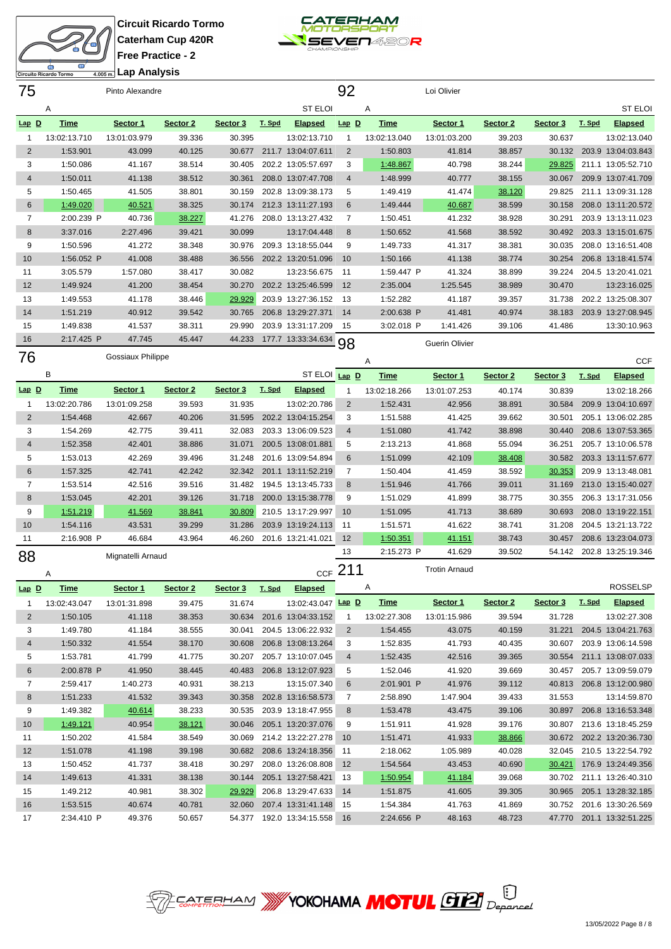cuito Ricardo Tormo **Lap Analysis**

**Circuit Ricardo Tormo Caterham Cup 420R Free Practice - 2**

15 1:49.212 40.981 38.302 200.8 13:29:47.633 14 1:53.515 40.674 40.781 32.060 207.4 13:31:41.148 2:34.410 P 49.376 50.657 54.377 192.0 13:34:15.558



| 75             |              | Pinto Alexandre   |          |          |        |                    | 92             |              | Loi Olivier          |          |          |        |                           |
|----------------|--------------|-------------------|----------|----------|--------|--------------------|----------------|--------------|----------------------|----------|----------|--------|---------------------------|
|                | Α            |                   |          |          |        | <b>ST ELOI</b>     |                | Α            |                      |          |          |        | <b>ST ELOI</b>            |
| $Lap$ $D$      | <b>Time</b>  | Sector 1          | Sector 2 | Sector 3 | T. Spd | <b>Elapsed</b>     | $Lap$ D        | <b>Time</b>  | Sector 1             | Sector 2 | Sector 3 | T. Spd | <b>Elapsed</b>            |
| 1              | 13:02:13.710 | 13:01:03.979      | 39.336   | 30.395   |        | 13:02:13.710       | -1             | 13:02:13.040 | 13:01:03.200         | 39.203   | 30.637   |        | 13:02:13.040              |
| $\overline{2}$ | 1:53.901     | 43.099            | 40.125   | 30.677   |        | 211.7 13:04:07.611 | $\overline{2}$ | 1:50.803     | 41.814               | 38.857   | 30.132   |        | 203.9 13:04:03.843        |
| 3              | 1:50.086     | 41.167            | 38.514   | 30.405   |        | 202.2 13:05:57.697 | 3              | 1:48.867     | 40.798               | 38.244   | 29.825   |        | 211.1 13:05:52.710        |
| $\overline{4}$ | 1:50.011     | 41.138            | 38.512   | 30.361   |        | 208.0 13:07:47.708 | $\overline{4}$ | 1:48.999     | 40.777               | 38.155   | 30.067   |        | 209.9 13:07:41.709        |
| 5              | 1:50.465     | 41.505            | 38.801   | 30.159   |        | 202.8 13:09:38.173 | 5              | 1:49.419     | 41.474               | 38.120   | 29.825   |        | 211.1 13:09:31.128        |
| 6              | 1:49.020     | 40.521            | 38.325   | 30.174   |        | 212.3 13:11:27.193 | 6              | 1:49.444     | 40.687               | 38.599   | 30.158   |        | 208.0 13:11:20.572        |
| $\overline{7}$ | 2:00.239 P   | 40.736            | 38.227   | 41.276   |        | 208.0 13:13:27.432 | $\overline{7}$ | 1:50.451     | 41.232               | 38.928   | 30.291   |        | 203.9 13:13:11.023        |
| 8              | 3:37.016     | 2:27.496          | 39.421   | 30.099   |        | 13:17:04.448       | 8              | 1:50.652     | 41.568               | 38.592   | 30.492   |        | 203.3 13:15:01.675        |
| 9              | 1:50.596     | 41.272            | 38.348   | 30.976   |        | 209.3 13:18:55.044 | 9              | 1:49.733     | 41.317               | 38.381   | 30.035   |        | 208.0 13:16:51.408        |
| 10             | 1:56.052 P   | 41.008            | 38.488   | 36.556   |        | 202.2 13:20:51.096 | 10             | 1:50.166     | 41.138               | 38.774   | 30.254   |        | 206.8 13:18:41.574        |
| 11             | 3:05.579     | 1:57.080          | 38.417   | 30.082   |        | 13:23:56.675       | 11             | 1:59.447 P   | 41.324               | 38.899   | 39.224   |        | 204.5 13:20:41.021        |
| 12             | 1:49.924     | 41.200            | 38.454   | 30.270   |        | 202.2 13:25:46.599 | 12             | 2:35.004     | 1:25.545             | 38.989   | 30.470   |        | 13:23:16.025              |
| 13             | 1:49.553     | 41.178            | 38.446   | 29.929   |        | 203.9 13:27:36.152 | 13             | 1:52.282     | 41.187               | 39.357   | 31.738   |        | 202.2 13:25:08.307        |
| 14             | 1:51.219     | 40.912            | 39.542   | 30.765   |        | 206.8 13:29:27.371 | 14             | 2:00.638 P   | 41.481               | 40.974   | 38.183   |        | 203.9 13:27:08.945        |
| 15             | 1:49.838     | 41.537            | 38.311   | 29.990   |        | 203.9 13:31:17.209 | 15             | 3:02.018 P   | 1:41.426             | 39.106   | 41.486   |        | 13:30:10.963              |
| 16             | 2:17.425 P   | 47.745            | 45.447   | 44.233   |        | 177.7 13:33:34.634 |                |              |                      |          |          |        |                           |
| 76             |              | Gossiaux Philippe |          |          |        |                    | 98             |              | Guerin Olivier       |          |          |        |                           |
|                |              |                   |          |          |        |                    |                | Α            |                      |          |          |        | <b>CCF</b>                |
|                | B            |                   |          |          |        | ST ELOI Lap D      |                | <b>Time</b>  | Sector 1             | Sector 2 | Sector 3 | T. Spd | <b>Elapsed</b>            |
| $Lap$ D        | <b>Time</b>  | Sector 1          | Sector 2 | Sector 3 | T. Spd | <b>Elapsed</b>     | 1              | 13:02:18.266 | 13:01:07.253         | 40.174   | 30.839   |        | 13:02:18.266              |
| $\mathbf 1$    | 13:02:20.786 | 13:01:09.258      | 39.593   | 31.935   |        | 13:02:20.786       | $\overline{2}$ | 1:52.431     | 42.956               | 38.891   | 30.584   |        | 209.9 13:04:10.697        |
| $\overline{2}$ | 1:54.468     | 42.667            | 40.206   | 31.595   |        | 202.2 13:04:15.254 | 3              | 1:51.588     | 41.425               | 39.662   | 30.501   |        | 205.1 13:06:02.285        |
| 3              | 1:54.269     | 42.775            | 39.411   | 32.083   |        | 203.3 13:06:09.523 | $\overline{4}$ | 1:51.080     | 41.742               | 38.898   | 30.440   |        | 208.6 13:07:53.365        |
| $\overline{4}$ | 1:52.358     | 42.401            | 38.886   | 31.071   |        | 200.5 13:08:01.881 | 5              | 2:13.213     | 41.868               | 55.094   | 36.251   |        | 205.7 13:10:06.578        |
| 5              | 1:53.013     | 42.269            | 39.496   | 31.248   |        | 201.6 13:09:54.894 | 6              | 1:51.099     | 42.109               | 38.408   | 30.582   |        | 203.3 13:11:57.677        |
| $6\phantom{1}$ | 1:57.325     | 42.741            | 42.242   | 32.342   |        | 201.1 13:11:52.219 | $\overline{7}$ | 1:50.404     | 41.459               | 38.592   | 30.353   |        | 209.9 13:13:48.081        |
| $\overline{7}$ | 1:53.514     | 42.516            | 39.516   | 31.482   |        | 194.5 13:13:45.733 | 8              | 1:51.946     | 41.766               | 39.011   | 31.169   |        | 213.0 13:15:40.027        |
| $\bf 8$        | 1:53.045     | 42.201            | 39.126   | 31.718   |        | 200.0 13:15:38.778 | 9              | 1:51.029     | 41.899               | 38.775   | 30.355   |        | 206.3 13:17:31.056        |
| 9              | 1:51.219     | 41.569            | 38.841   | 30.809   |        | 210.5 13:17:29.997 | 10             | 1:51.095     | 41.713               | 38.689   | 30.693   |        | 208.0 13:19:22.151        |
| 10             | 1:54.116     | 43.531            | 39.299   | 31.286   |        | 203.9 13:19:24.113 | 11             | 1:51.571     | 41.622               | 38.741   | 31.208   |        | 204.5 13:21:13.722        |
| 11             | 2:16.908 P   | 46.684            | 43.964   | 46.260   |        | 201.6 13:21:41.021 | 12             | 1:50.351     | 41.151               | 38.743   | 30.457   |        | 208.6 13:23:04.073        |
| 88             |              | Mignatelli Arnaud |          |          |        |                    | 13             | 2:15.273 P   | 41.629               | 39.502   | 54.142   |        | 202.8 13:25:19.346        |
|                | Α            |                   |          |          |        |                    | CCF $211$      |              | <b>Trotin Arnaud</b> |          |          |        |                           |
| $Lap$ <u>D</u> | <b>Time</b>  | Sector 1          | Sector 2 | Sector 3 | T. Spd | Elapsed            |                | Α            |                      |          |          |        | <b>ROSSELSP</b>           |
| 1              | 13:02:43.047 | 13:01:31.898      | 39.475   | 31.674   |        | 13:02:43.047 Lap D |                | <b>Time</b>  | Sector 1             | Sector 2 | Sector 3 | T. Spd | <b>Elapsed</b>            |
| $\overline{2}$ | 1:50.105     | 41.118            | 38.353   | 30.634   |        | 201.6 13:04:33.152 | 1              | 13:02:27.308 | 13:01:15.986         | 39.594   | 31.728   |        | 13:02:27.308              |
| 3              | 1:49.780     | 41.184            | 38.555   | 30.041   |        | 204.5 13:06:22.932 | $\overline{2}$ | 1:54.455     | 43.075               | 40.159   | 31.221   |        | 204.5 13:04:21.763        |
| 4              | 1:50.332     | 41.554            | 38.170   | 30.608   |        | 206.8 13:08:13.264 | 3              | 1:52.835     | 41.793               | 40.435   | 30.607   |        | 203.9 13:06:14.598        |
| 5              | 1:53.781     | 41.799            | 41.775   | 30.207   |        | 205.7 13:10:07.045 | $\overline{4}$ | 1:52.435     | 42.516               | 39.365   |          |        | 30.554 211.1 13:08:07.033 |
| 6              | 2:00.878 P   | 41.950            | 38.445   | 40.483   |        | 206.8 13:12:07.923 | 5              | 1:52.046     | 41.920               | 39.669   | 30.457   |        | 205.7 13:09:59.079        |
| 7              | 2:59.417     | 1:40.273          | 40.931   | 38.213   |        | 13:15:07.340       | 6              | 2:01.901 P   | 41.976               | 39.112   | 40.813   |        | 206.8 13:12:00.980        |
| $\bf 8$        | 1:51.233     | 41.532            | 39.343   | 30.358   |        | 202.8 13:16:58.573 | 7              | 2:58.890     | 1:47.904             | 39.433   | 31.553   |        | 13:14:59.870              |
| 9              | 1:49.382     | 40.614            | 38.233   | 30.535   |        | 203.9 13:18:47.955 | 8              | 1:53.478     | 43.475               | 39.106   | 30.897   |        | 206.8 13:16:53.348        |
| 10             | 1:49.121     | 40.954            | 38.121   | 30.046   |        | 205.1 13:20:37.076 | 9              | 1:51.911     | 41.928               | 39.176   | 30.807   |        | 213.6 13:18:45.259        |
| 11             | 1:50.202     | 41.584            | 38.549   | 30.069   |        | 214.2 13:22:27.278 | 10             | 1:51.471     | 41.933               | 38.866   |          |        | 30.672 202.2 13:20:36.730 |
| 12             | 1:51.078     | 41.198            | 39.198   | 30.682   |        | 208.6 13:24:18.356 | 11             | 2:18.062     | 1:05.989             | 40.028   |          |        | 32.045 210.5 13:22:54.792 |
| 13             | 1:50.452     | 41.737            | 38.418   | 30.297   |        | 208.0 13:26:08.808 | 12             | 1:54.564     | 43.453               | 40.690   | 30.421   |        | 176.9 13:24:49.356        |
| 14             | 1:49.613     | 41.331            | 38.138   | 30.144   |        | 205.1 13:27:58.421 | 13             | 1:50.954     | 41.184               | 39.068   |          |        | 30.702 211.1 13:26:40.310 |



 1:51.875 41.605 39.305 30.965 205.1 13:28:32.185 1:54.384 41.763 41.869 30.752 201.6 13:30:26.569 2:24.656 P 48.163 48.723 47.770 201.1 13:32:51.225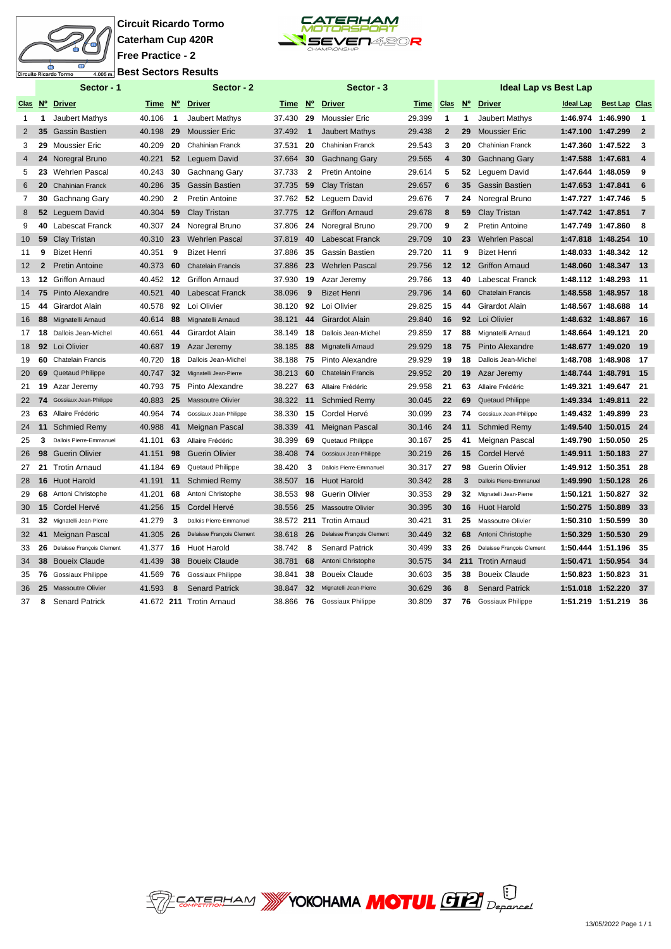

## **Circuit Ricardo Tormo Caterham Cup 420R Free Practice - 2 Best Sectors Results**



|                   |              | Sector - 1                |           |                         | Sector - 2                |        |                 | Sector - 3                |        |                    |                  | <b>Ideal Lap vs Best Lap</b> |                   |                      |                         |
|-------------------|--------------|---------------------------|-----------|-------------------------|---------------------------|--------|-----------------|---------------------------|--------|--------------------|------------------|------------------------------|-------------------|----------------------|-------------------------|
|                   |              | Clas Nº Driver            |           |                         | Time Nº Driver            | Time   | $N^{\circ}$     | <b>Driver</b>             | Time   | $Clas$ $N^{\circ}$ |                  | <b>Driver</b>                | <b>Ideal Lap</b>  | <b>Best Lap Clas</b> |                         |
| 1                 | 1            | Jaubert Mathys            | 40.106    | $\overline{\mathbf{1}}$ | Jaubert Mathys            | 37.430 | 29              | <b>Moussier Eric</b>      | 29.399 | $\mathbf{1}$       | -1               | Jaubert Mathys               | 1:46.974 1:46.990 |                      | $\mathbf{1}$            |
| $\overline{2}$    |              | 35 Gassin Bastien         | 40.198    | 29                      | <b>Moussier Eric</b>      | 37.492 | $\mathbf 1$     | <b>Jaubert Mathys</b>     | 29.438 | $\overline{2}$     | 29               | <b>Moussier Eric</b>         | 1:47.100 1:47.299 |                      | $\overline{2}$          |
| 3                 | 29           | <b>Moussier Eric</b>      | 40.209    | -20                     | Chahinian Franck          | 37.531 | 20              | Chahinian Franck          | 29.543 | 3                  | 20               | Chahinian Franck             | 1:47.360 1:47.522 |                      | 3                       |
| $\overline{4}$    | 24           | Noregral Bruno            | 40.221    | 52                      | Leguem David              | 37.664 | 30              | <b>Gachnang Gary</b>      | 29.565 | 4                  | 30               | <b>Gachnang Gary</b>         | 1:47.588 1:47.681 |                      | $\overline{\mathbf{4}}$ |
| 5                 | 23           | <b>Wehrlen Pascal</b>     | 40.243    | 30                      | Gachnang Gary             | 37.733 | $\mathbf{2}$    | <b>Pretin Antoine</b>     | 29.614 | 5                  | 52               | Leguem David                 | 1:47.644 1:48.059 |                      | 9                       |
| 6                 | 20           | <b>Chahinian Franck</b>   | 40.286    | 35                      | <b>Gassin Bastien</b>     | 37.735 | 59              | Clay Tristan              | 29.657 | 6                  | 35               | <b>Gassin Bastien</b>        | 1:47.653 1:47.841 |                      | 6                       |
| $\overline{7}$    | 30           | Gachnang Gary             | 40.290    | $\mathbf{2}$            | Pretin Antoine            | 37.762 | 52              | Leguem David              | 29.676 | 7                  | 24               | Noregral Bruno               | 1:47.727 1:47.746 |                      | 5                       |
| 8                 |              | 52 Leguem David           | 40.304    | 59                      | Clay Tristan              | 37.775 | 12              | <b>Griffon Arnaud</b>     | 29.678 | 8                  | 59               | Clay Tristan                 | 1:47.742 1:47.851 |                      | $\overline{7}$          |
| 9                 | 40           | Labescat Franck           | 40.307    | 24                      | Noregral Bruno            | 37.806 | 24              | Noregral Bruno            | 29.700 | 9                  | $\mathbf{2}$     | <b>Pretin Antoine</b>        | 1:47.749 1:47.860 |                      | 8                       |
| 10                |              | 59 Clay Tristan           | 40.310    | 23                      | <b>Wehrlen Pascal</b>     | 37.819 | 40              | <b>Labescat Franck</b>    | 29.709 | 10                 | 23               | <b>Wehrlen Pascal</b>        | 1:47.818 1:48.254 |                      | 10                      |
| 11                | 9            | <b>Bizet Henri</b>        | 40.351    | 9                       | <b>Bizet Henri</b>        | 37.886 | 35              | Gassin Bastien            | 29.720 | 11                 | 9                | <b>Bizet Henri</b>           |                   | 1:48.033 1:48.342    | 12                      |
| $12 \overline{ }$ | $\mathbf{2}$ | <b>Pretin Antoine</b>     | 40.373    | 60                      | <b>Chatelain Francis</b>  | 37.886 | 23              | <b>Wehrlen Pascal</b>     | 29.756 | 12                 | 12 <sup>12</sup> | <b>Griffon Arnaud</b>        | 1:48.060 1:48.347 |                      | 13                      |
| 13                |              | <b>12 Griffon Arnaud</b>  | 40.452    | 12                      | <b>Griffon Arnaud</b>     | 37.930 | 19              | Azar Jeremy               | 29.766 | 13                 | 40               | Labescat Franck              | 1:48.112 1:48.293 |                      | 11                      |
| 14                | 75           | Pinto Alexandre           | 40.521    | 40                      | <b>Labescat Franck</b>    | 38.096 | 9               | <b>Bizet Henri</b>        | 29.796 | 14                 | 60               | <b>Chatelain Francis</b>     | 1:48.558          | 1:48.957             | 18                      |
| 15                | 44           | Girardot Alain            | 40.578    | 92                      | Loi Olivier               | 38.120 | 92              | Loi Olivier               | 29.825 | 15                 | 44               | Girardot Alain               | 1:48.567 1:48.688 |                      | 14                      |
| 16                | 88           | Mignatelli Arnaud         | 40.614    | 88                      | Mignatelli Arnaud         | 38.121 | 44              | <b>Girardot Alain</b>     | 29.840 | 16                 | 92               | Loi Olivier                  | 1:48.632 1:48.867 |                      | 16                      |
| 17                | 18           | Dallois Jean-Michel       | 40.661    | 44                      | Girardot Alain            | 38.149 | 18              | Dallois Jean-Michel       | 29.859 | 17                 | 88               | Mignatelli Arnaud            | 1:48.664 1:49.121 |                      | 20                      |
| 18                |              | 92 Loi Olivier            | 40.687    | 19                      | Azar Jeremy               | 38.185 | 88              | Mignatelli Arnaud         | 29.929 | 18                 | 75               | Pinto Alexandre              | 1:48.677 1:49.020 |                      | 19                      |
| 19                | 60           | <b>Chatelain Francis</b>  | 40.720    | 18                      | Dallois Jean-Michel       | 38.188 | 75              | Pinto Alexandre           | 29.929 | 19                 | 18               | Dallois Jean-Michel          | 1:48.708 1:48.908 |                      | 17                      |
| 20                | 69           | Quetaud Philippe          | 40.747    | 32                      | Mignatelli Jean-Pierre    | 38.213 | 60              | <b>Chatelain Francis</b>  | 29.952 | 20                 | 19               | Azar Jeremy                  | 1:48.744 1:48.791 |                      | 15                      |
| 21                | 19           | Azar Jeremy               | 40.793    | 75                      | Pinto Alexandre           | 38.227 | 63              | Allaire Frédéric          | 29.958 | 21                 | 63               | Allaire Frédéric             | 1:49.321 1:49.647 |                      | 21                      |
| 22                | 74           | Gossiaux Jean-Philippe    | 40.883    | 25                      | <b>Massoutre Olivier</b>  | 38.322 | 11              | <b>Schmied Remy</b>       | 30.045 | 22                 | 69               | Quetaud Philippe             | 1:49.334 1:49.811 |                      | 22                      |
| 23                | 63           | Allaire Frédéric          | 40.964 74 |                         | Gossiaux Jean-Philippe    | 38.330 | 15              | Cordel Hervé              | 30.099 | 23                 | 74               | Gossiaux Jean-Philippe       | 1:49.432 1:49.899 |                      | 23                      |
| 24                |              | 11 Schmied Remy           | 40.988    | 41                      | Meignan Pascal            | 38.339 | 41              | Meignan Pascal            | 30.146 | 24                 | 11               | <b>Schmied Remy</b>          |                   | 1:49.540 1:50.015    | - 24                    |
| 25                | 3            | Dallois Pierre-Emmanuel   | 41.101    | 63                      | Allaire Frédéric          | 38.399 | 69              | <b>Quetaud Philippe</b>   | 30.167 | 25                 | 41               | Meignan Pascal               | 1:49.790 1:50.050 |                      | 25                      |
| 26                | 98           | <b>Guerin Olivier</b>     | 41.151    | 98                      | <b>Guerin Olivier</b>     | 38.408 | 74              | Gossiaux Jean-Philippe    | 30.219 | 26                 | 15               | Cordel Hervé                 | 1:49.911 1:50.183 |                      | 27                      |
| 27                | 21           | <b>Trotin Arnaud</b>      | 41.184    | 69                      | Quetaud Philippe          | 38.420 | 3               | Dallois Pierre-Emmanuel   | 30.317 | 27                 | 98               | <b>Guerin Olivier</b>        | 1:49.912 1:50.351 |                      | 28                      |
| 28                |              | 16 Huot Harold            | 41.191    | 11                      | <b>Schmied Remy</b>       | 38.507 | 16              | <b>Huot Harold</b>        | 30.342 | 28                 | 3                | Dallois Pierre-Emmanuel      |                   | 1:49.990 1:50.128    | 26                      |
| 29                |              | 68 Antoni Christophe      | 41.201    | 68                      | Antoni Christophe         | 38.553 | 98              | <b>Guerin Olivier</b>     | 30.353 | 29                 | 32 <sub>2</sub>  | Mignatelli Jean-Pierre       | 1:50.121 1:50.827 |                      | 32                      |
| 30                |              | 15 Cordel Hervé           | 41.256    | 15                      | Cordel Hervé              | 38.556 | 25              | <b>Massoutre Olivier</b>  | 30.395 | 30                 | 16               | <b>Huot Harold</b>           | 1:50.275 1:50.889 |                      | 33                      |
| 31                | 32           | Mignatelli Jean-Pierre    | 41.279    | 3                       | Dallois Pierre-Emmanuel   |        |                 | 38.572 211 Trotin Arnaud  | 30.421 | 31                 | 25               | Massoutre Olivier            | 1:50.310 1:50.599 |                      | 30                      |
| 32                | 41           | Meignan Pascal            | 41.305    | 26                      | Delaisse François Clement | 38.618 | 26              | Delaisse François Clement | 30.449 | 32                 | 68               | Antoni Christophe            | 1:50.329          | 1:50.530             | 29                      |
| 33                | 26           | Delaisse François Clement | 41.377    | 16                      | <b>Huot Harold</b>        | 38.742 | 8               | <b>Senard Patrick</b>     | 30.499 | 33                 | 26               | Delaisse François Clement    | 1:50.444          | 1:51.196             | 35                      |
| 34                |              | 38 Boueix Claude          | 41.439    | 38                      | <b>Boueix Claude</b>      | 38.781 | 68              | Antoni Christophe         | 30.575 | 34                 |                  | 211 Trotin Arnaud            | 1:50.471 1:50.954 |                      | 34                      |
| 35                |              | 76 Gossiaux Philippe      | 41.569 76 |                         | Gossiaux Philippe         | 38.841 | 38              | <b>Boueix Claude</b>      | 30.603 | 35                 | 38               | <b>Boueix Claude</b>         | 1:50.823 1:50.823 |                      | 31                      |
| 36                |              | 25 Massoutre Olivier      | 41.593    | 8                       | <b>Senard Patrick</b>     | 38.847 | $32\phantom{a}$ | Mignatelli Jean-Pierre    | 30.629 | 36                 | 8                | <b>Senard Patrick</b>        | 1:51.018 1:52.220 |                      | 37                      |
| 37                | 8            | <b>Senard Patrick</b>     |           |                         | 41.672 211 Trotin Arnaud  | 38.866 | 76              | <b>Gossiaux Philippe</b>  | 30.809 | 37                 | 76               | <b>Gossiaux Philippe</b>     | 1:51.219 1:51.219 |                      | 36                      |

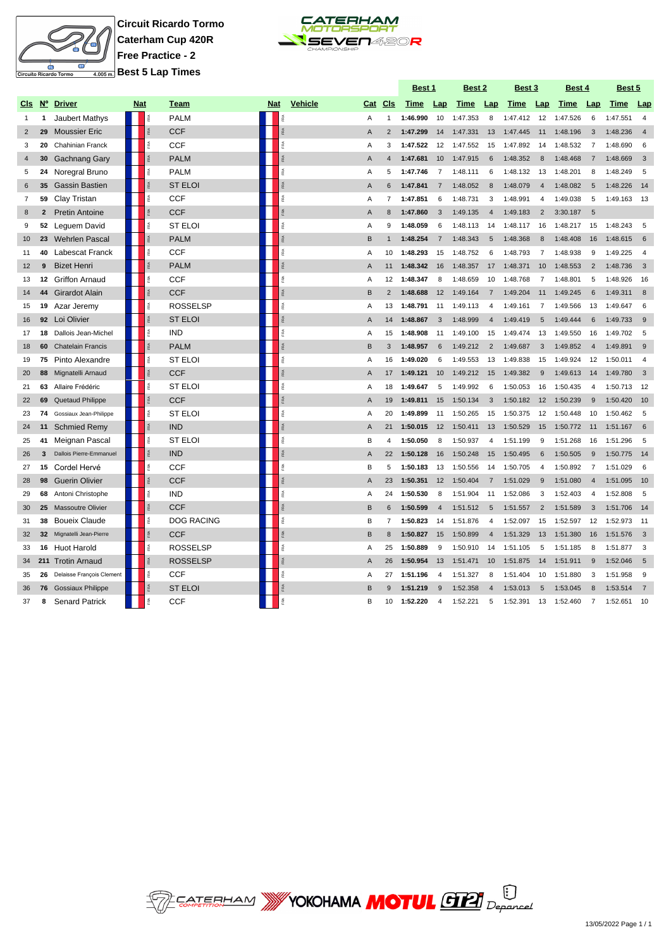

**Circuit Ricardo Tormo Caterham Cup 420R Free Practice - 2 Best 5 Lap Times**



|                |                  |                           |            |           |                   |            |                  |                |                | Best 1   |                | Best 2      |                | Best 3   |                | Best 4   |                | Best 5   |                |
|----------------|------------------|---------------------------|------------|-----------|-------------------|------------|------------------|----------------|----------------|----------|----------------|-------------|----------------|----------|----------------|----------|----------------|----------|----------------|
| CIs            | $N^{\circ}$      | <b>Driver</b>             | <b>Nat</b> |           | Team              | <b>Nat</b> | <b>Vehicle</b>   | Cat            | CIs            | Time     | Lap            | <b>Time</b> | Lap            | Time     | Lap            | Time     | Lap            | Time     | Lap            |
| $\mathbf{1}$   | 1                | <b>Jaubert Mathys</b>     |            |           | <b>PALM</b>       |            |                  | A              |                | 1:46.990 | 10             | 1:47.353    | 8              | 1:47.412 | 12             | 1:47.526 | 6              | 1:47.551 | $\overline{4}$ |
| 2              | 29               | <b>Moussier Eric</b>      |            |           | <b>CCF</b>        |            | ß                | Α              | $\overline{2}$ | 1:47.299 | 14             | 1:47.331    | 13             | 1:47.445 | 11             | 1:48.196 | 3              | 1:48.236 | $\overline{4}$ |
| 3              | 20               | <b>Chahinian Franck</b>   |            | RA        | <b>CCF</b>        |            | îRA.             | Α              | 3              | 1:47.522 | 12             | 1:47.552    | 15             | 1:47.892 | 14             | 1:48.532 | $\overline{7}$ | 1:48.690 | 6              |
| $\overline{4}$ | 30               | <b>Gachnang Gary</b>      |            |           | <b>PALM</b>       |            | RA               | A              | $\overline{4}$ | 1:47.681 | 10             | 1:47.915    | 6              | 1:48.352 | 8              | 1:48.468 | $\overline{7}$ | 1:48.669 | 3              |
| 5              | 24               | Noregral Bruno            |            |           | <b>PALM</b>       |            | îRA.             | Α              | 5              | 1:47.746 | 7              | 1:48.111    | 6              | 1:48.132 | 13             | 1:48.201 | 8              | 1:48.249 | 5              |
| 6              | 35               | <b>Gassin Bastien</b>     |            |           | <b>ST ELOI</b>    |            |                  | A              | $\,6$          | 1:47.841 | $\overline{7}$ | 1:48.052    | 8              | 1:48.079 | $\overline{4}$ | 1:48.082 | 5              | 1:48.226 | 14             |
| $\overline{7}$ | 59               | Clay Tristan              |            | Ř         | <b>CCF</b>        |            | FRA              | Α              | $\overline{7}$ | 1:47.851 | 6              | 1:48.731    | 3              | 1:48.991 | $\overline{4}$ | 1:49.038 | 5              | 1:49.163 | 13             |
| 8              |                  | <b>Pretin Antoine</b>     |            |           | <b>CCF</b>        |            |                  | Α              | 8              | 1:47.860 | 3              | 1:49.135    | $\overline{4}$ | 1:49.183 | $\overline{2}$ | 3:30.187 | 5              |          |                |
| 9              | 52               | Leguem David              |            |           | <b>ST ELOI</b>    |            |                  | A              | 9              | 1:48.059 | 6              | 1:48.113    | 14             | 1:48.117 | 16             | 1:48.217 | 15             | 1:48.243 | 5              |
| 10             | 23               | <b>Wehrlen Pascal</b>     |            |           | <b>PALM</b>       |            |                  | B              |                | 1:48.254 | $\overline{7}$ | 1:48.343    | $\overline{5}$ | 1:48.368 | 8              | 1:48.408 | 16             | 1:48.615 | 6              |
| 11             | 40               | <b>Labescat Franck</b>    |            |           | <b>CCF</b>        |            |                  | A              | 10             | 1:48.293 | 15             | 1:48.752    | 6              | 1:48.793 | $\overline{7}$ | 1:48.938 | $\mathbf{q}$   | 1:49.225 | $\overline{4}$ |
| 12             | 9                | <b>Bizet Henri</b>        |            |           | <b>PALM</b>       |            |                  | A              | 11             | 1:48.342 | 16             | 1:48.357    | 17             | 1:48.371 | 10             | 1:48.553 | 2              | 1:48.736 | $\overline{3}$ |
| 13             | 12 <sup>12</sup> | <b>Griffon Arnaud</b>     |            |           | <b>CCF</b>        |            | <b>RA</b>        | Α              | 12             | 1:48.347 | 8              | 1:48.659    | 10             | 1:48.768 | $\overline{7}$ | 1:48.801 | 5              | 1:48.926 | 16             |
| 14             | 44               | Girardot Alain            |            |           | <b>CCF</b>        |            |                  | B              | $\overline{2}$ | 1:48.688 | 12             | 1:49.164    | $\overline{7}$ | 1:49.204 | 11             | 1:49.245 | 6              | 1:49.311 | 8              |
| 15             | 19               | Azar Jeremy               |            |           | <b>ROSSELSP</b>   |            | ŘÁ               | A              | 13             | 1:48.791 | 11             | 1:49.113    | 4              | 1:49.161 | 7              | 1:49.566 | 13             | 1:49.647 | 6              |
| 16             |                  | 92 Loi Olivier            |            | <b>RA</b> | <b>ST ELOI</b>    |            | RA               | Α              | 14             | 1:48.867 | 3              | 1:48.999    | 4              | 1:49.419 | 5              | 1:49.444 | 6              | 1:49.733 | 9              |
| 17             | 18               | Dallois Jean-Michel       |            | Ř         | <b>IND</b>        |            | FRA <sub>.</sub> | Α              | 15             | 1:48.908 | 11             | 1:49.100    | 15             | 1:49.474 | 13             | 1:49.550 | 16             | 1:49.702 | 5              |
| 18             | 60               | <b>Chatelain Francis</b>  |            |           | <b>PALM</b>       |            | RA               | B              | 3              | 1:48.957 | 6              | 1:49.212    | $\overline{2}$ | 1:49.687 | 3              | 1:49.852 | $\overline{4}$ | 1:49.891 | 9              |
| 19             | 75               | Pinto Alexandre           |            | é         | <b>ST ELOI</b>    |            | é                | Α              | 16             | 1:49.020 | 6              | 1:49.553    | 13             | 1:49.838 | 15             | 1:49.924 | 12             | 1:50.011 | $\overline{4}$ |
| 20             | 88               | Mignatelli Arnaud         |            |           | <b>CCF</b>        |            |                  | Α              | 17             | 1:49.121 | 10             | 1:49.212    | 15             | 1:49.382 | 9              | 1:49.613 | 14             | 1:49.780 | $\overline{3}$ |
| 21             | 63               | Allaire Frédéric          |            |           | <b>ST ELOI</b>    |            | FRA              | Α              | 18             | 1:49.647 | 5              | 1:49.992    | 6              | 1:50.053 | 16             | 1:50.435 | $\overline{4}$ | 1:50.713 | 12             |
| 22             | 69               | Quetaud Philippe          |            |           | <b>CCF</b>        |            |                  | A              | 19             | 1:49.811 | 15             | 1:50.134    | 3              | 1:50.182 | 12             | 1:50.239 | 9              | 1:50.420 | 10             |
| 23             | 74               | Gossiaux Jean-Philippe    |            |           | <b>ST ELOI</b>    |            |                  | A              | 20             | 1:49.899 | 11             | 1:50.265    | 15             | 1:50.375 | 12             | 1:50.448 | 10             | 1:50.462 | 5              |
| 24             | 11               | <b>Schmied Remy</b>       |            |           | <b>IND</b>        |            |                  | $\overline{A}$ | 21             | 1:50.015 | 12             | 1:50.411    | 13             | 1:50.529 | 15             | 1:50.772 | 11             | 1:51.167 | 6              |
| 25             | 41               | Meignan Pascal            |            |           | <b>ST ELOI</b>    |            |                  | B              | 4              | 1:50.050 | 8              | 1:50.937    | 4              | 1:51.199 | 9              | 1:51.268 | 16             | 1:51.296 | 5              |
| 26             | 3                | Dallois Pierre-Emmanuel   |            |           | <b>IND</b>        |            |                  | $\overline{A}$ | 22             | 1:50.128 | 16             | 1:50.248    | 15             | 1:50.495 | 6              | 1:50.505 | 9              | 1:50.775 | 14             |
| 27             | 15               | Cordel Hervé              |            |           | <b>CCF</b>        |            | ß.               | B              | 5              | 1:50.183 | 13             | 1:50.556    | 14             | 1:50.705 | $\overline{4}$ | 1:50.892 | $\overline{7}$ | 1:51.029 | 6              |
| 28             | 98               | <b>Guerin Olivier</b>     |            |           | <b>CCF</b>        |            |                  | $\overline{A}$ | 23             | 1:50.351 | 12             | 1:50.404    | $\overline{7}$ | 1:51.029 | 9              | 1:51.080 | $\overline{4}$ | 1:51.095 | 10             |
| 29             | 68               | Antoni Christophe         |            |           | <b>IND</b>        |            | îRA.             | Α              | 24             | 1:50.530 | 8              | 1:51.904    | 11             | 1:52.086 | 3              | 1:52.403 | 4              | 1:52.808 | 5              |
| 30             | 25               | <b>Massoutre Olivier</b>  |            |           | <b>CCF</b>        |            | RA               | B              | 6              | 1:50.599 | $\overline{4}$ | 1:51.512    | 5              | 1:51.557 | 2              | 1:51.589 | 3              | 1:51.706 | 14             |
| 31             | 38               | <b>Boueix Claude</b>      |            | é         | <b>DOG RACING</b> |            | ŖÃ.              | B              | $\overline{7}$ | 1:50.823 | 14             | 1:51.876    | 4              | 1:52.097 | 15             | 1:52.597 | 12             | 1:52.973 | 11             |
| 32             | 32 <sub>2</sub>  | Mignatelli Jean-Pierre    |            |           | <b>CCF</b>        |            | <b>RA</b>        | B              | 8              | 1:50.827 | 15             | 1:50.899    | $\overline{4}$ | 1:51.329 | 13             | 1:51.380 | 16             | 1:51.576 | 3              |
| 33             |                  | 16 Huot Harold            |            | Ř         | <b>ROSSELSP</b>   |            | FRA              | Α              | 25             | 1:50.889 | 9              | 1:50.910    | 14             | 1:51.105 | 5              | 1:51.185 | 8              | 1:51.877 | 3              |
| 34             |                  | 211 Trotin Arnaud         |            |           | <b>ROSSELSP</b>   |            |                  | A              | 26             | 1:50.954 | 13             | 1:51.471    | 10             | 1:51.875 | 14             | 1:51.911 | $9$            | 1:52.046 | 5              |
| 35             | 26               | Delaisse François Clement |            | Ř         | <b>CCF</b>        |            | Ř                | Α              | 27             | 1:51.196 | $\Delta$       | 1:51.327    | 8              | 1:51.404 | 10             | 1:51.880 | 3              | 1:51.958 | 9              |
| 36             |                  | 76 Gossiaux Philippe      |            |           | <b>ST ELOI</b>    |            |                  | B              |                | 1:51.219 | $\mathbf{Q}$   | 1:52.358    | $\overline{4}$ | 1:53.013 |                | 1:53.045 | 8              | 1:53.514 | $\overline{7}$ |
| 37             | 8                | <b>Senard Patrick</b>     |            |           | <b>CCF</b>        |            |                  | B              | 10             | 1:52.220 | $\Delta$       | 1:52.221    | 5              | 1:52.391 | 13             | 1:52.460 | $\overline{7}$ | 1:52.651 | 10             |

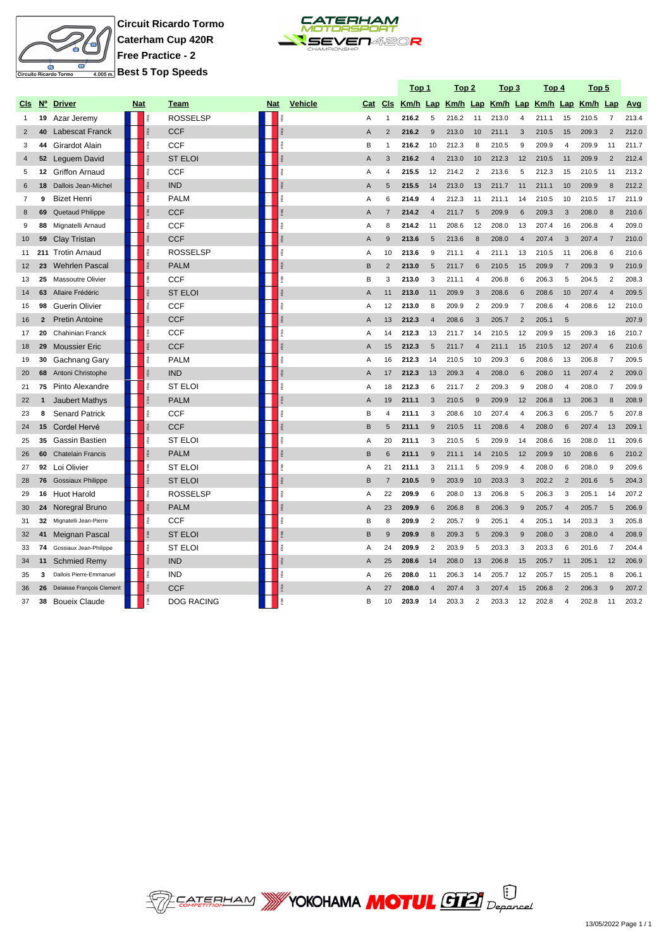

**Circuit Ricardo Tormo Caterham Cup 420R Free Practice - 2 Best 5 Top Speeds**



|                |                |                           |            |               |                   |            |                 |                |                | <u>Top 1</u> |                         | <u>Top 2</u> |                | <u>Top 3</u> |                | <u>Top 4</u>                                 |                         | <u>Top 5</u> |                |       |
|----------------|----------------|---------------------------|------------|---------------|-------------------|------------|-----------------|----------------|----------------|--------------|-------------------------|--------------|----------------|--------------|----------------|----------------------------------------------|-------------------------|--------------|----------------|-------|
| CIs            | $N^{\circ}$    | <b>Driver</b>             | <b>Nat</b> |               | Team              | <b>Nat</b> | <b>Vehicle</b>  | Cat            | Cls            |              |                         |              |                |              |                | Km/h Lap Km/h Lap Km/h Lap Km/h Lap Km/h Lap |                         |              |                | Avg   |
| $\mathbf{1}$   | 19             | Azar Jeremy               |            |               | <b>ROSSELSP</b>   |            |                 | Α              | $\mathbf{1}$   | 216.2        | 5                       | 216.2        | 11             | 213.0        | 4              | 211.1                                        | 15                      | 210.5        | $\overline{7}$ | 213.4 |
| $\overline{2}$ | 40             | <b>Labescat Franck</b>    |            | $\lessapprox$ | <b>CCF</b>        |            | RA <sub>1</sub> | $\overline{A}$ | 2              | 216.2        | 9                       | 213.0        | 10             | 211.1        | 3              | 210.5                                        | 15                      | 209.3        | $\overline{2}$ | 212.0 |
| 3              | 44             | <b>Girardot Alain</b>     |            |               | <b>CCF</b>        |            | FRA             | B              | $\overline{1}$ | 216.2        | 10                      | 212.3        | 8              | 210.5        | 9              | 209.9                                        | $\overline{4}$          | 209.9        | 11             | 211.7 |
| $\overline{4}$ |                | 52 Leguem David           |            |               | <b>ST ELOI</b>    |            |                 | A              | 3              | 216.2        | $\overline{4}$          | 213.0        | 10             | 212.3        | 12             | 210.5                                        | 11                      | 209.9        | $\overline{2}$ | 212.4 |
| 5              |                | 12 Griffon Arnaud         |            |               | <b>CCF</b>        |            | ŘÁ              | A              | $\overline{4}$ | 215.5        | 12                      | 214.2        | $\overline{2}$ | 213.6        | 5              | 212.3                                        | 15                      | 210.5        | 11             | 213.2 |
| 6              | 18             | Dallois Jean-Michel       |            |               | <b>IND</b>        |            |                 | A              | 5              | 215.5        | 14                      | 213.0        | 13             | 211.7        | 11             | 211.1                                        | 10                      | 209.9        | $\mathsf{R}$   | 212.2 |
| $\overline{7}$ | 9              | <b>Bizet Henri</b>        |            |               | <b>PALM</b>       |            | ŘÁ              | A              | 6              | 214.9        | $\overline{4}$          | 212.3        | 11             | 211.1        | 14             | 210.5                                        | 10                      | 210.5        | 17             | 211.9 |
| 8              | 69             | Quetaud Philippe          |            |               | <b>CCF</b>        |            | <b>RA</b>       | A              | $\overline{7}$ | 214.2        | $\overline{A}$          | 211.7        | 5              | 209.9        | 6              | 209.3                                        | 3                       | 208.0        | 8              | 210.6 |
| 9              | 88             | Mignatelli Arnaud         |            |               | CCF               |            |                 | $\overline{A}$ | 8              | 214.2        | 11                      | 208.6        | 12             | 208.0        | 13             | 207.4                                        | 16                      | 206.8        | $\overline{4}$ | 209.0 |
| 10             | 59             | <b>Clay Tristan</b>       |            |               | <b>CCF</b>        |            | RA <sub>1</sub> | $\overline{A}$ | 9              | 213.6        | 5                       | 213.6        | 8              | 208.0        | $\overline{4}$ | 207.4                                        | 3                       | 207.4        | $\overline{7}$ | 210.0 |
| 11             | 211            | <b>Trotin Arnaud</b>      |            |               | <b>ROSSELSP</b>   |            | Ř               | $\overline{A}$ | 10             | 213.6        | 9                       | 211.1        | $\overline{4}$ | 211.1        | 13             | 210.5                                        | 11                      | 206.8        | 6              | 210.6 |
| 12             | 23             | <b>Wehrlen Pascal</b>     |            |               | <b>PALM</b>       |            | FRA             | B              | $\overline{2}$ | 213.0        | 5                       | 211.7        | 6              | 210.5        | 15             | 209.9                                        | $\overline{7}$          | 209.3        | 9              | 210.9 |
| 13             | 25             | <b>Massoutre Olivier</b>  |            |               | CCF               |            | Ř               | B              | 3              | 213.0        | 3                       | 211.1        | $\overline{4}$ | 206.8        | 6              | 206.3                                        | 5                       | 204.5        | $\overline{2}$ | 208.3 |
| 14             | 63             | Allaire Frédéric          |            |               | <b>ST ELOI</b>    |            | RA <sub>1</sub> | A              | 11             | 213.0        | 11                      | 209.9        | 3              | 208.6        | 6              | 208.6                                        | 10                      | 207.4        | $\overline{4}$ | 209.5 |
| 15             | 98             | <b>Guerin Olivier</b>     |            |               | <b>CCF</b>        |            | F <sub>RA</sub> | $\overline{A}$ | 12             | 213.0        | 8                       | 209.9        | $\overline{2}$ | 209.9        | $\overline{7}$ | 208.6                                        | 4                       | 208.6        | 12             | 210.0 |
| 16             | $\overline{2}$ | <b>Pretin Antoine</b>     |            |               | <b>CCF</b>        |            | FRA             | $\overline{A}$ | 13             | 212.3        | $\overline{4}$          | 208.6        | 3              | 205.7        | $\overline{2}$ | 205.1                                        | 5                       |              |                | 207.9 |
| 17             | 20             | <b>Chahinian Franck</b>   |            |               | CCF               |            | FRA             | A              | 14             | 212.3        | 13                      | 211.7        | 14             | 210.5        | 12             | 209.9                                        | 15                      | 209.3        | 16             | 210.7 |
| 18             | 29             | <b>Moussier Eric</b>      |            |               | <b>CCF</b>        |            |                 | A              | 15             | 212.3        | 5                       | 211.7        | $\overline{4}$ | 211.1        | 15             | 210.5                                        | 12                      | 207.4        | 6              | 210.6 |
| 19             | 30             | Gachnang Gary             |            | ã.            | <b>PALM</b>       |            | Ř               | Α              | 16             | 212.3        | 14                      | 210.5        | 10             | 209.3        | 6              | 208.6                                        | 13                      | 206.8        | 7              | 209.5 |
| 20             | 68             | Antoni Christophe         |            |               | <b>IND</b>        |            |                 | $\mathsf{A}$   | 17             | 212.3        | 13                      | 209.3        | $\overline{4}$ | 208.0        | 6              | 208.0                                        | 11                      | 207.4        | $\overline{c}$ | 209.0 |
| 21             | 75             | Pinto Alexandre           |            |               | <b>ST ELOI</b>    |            | ŘÁ              | A              | 18             | 212.3        | 6                       | 211.7        | $\overline{2}$ | 209.3        | 9              | 208.0                                        | 4                       | 208.0        | $\overline{7}$ | 209.9 |
| 22             |                | <b>Jaubert Mathys</b>     |            |               | <b>PALM</b>       |            |                 | $\mathsf{A}$   | 19             | 211.1        | 3                       | 210.5        | 9              | 209.9        | 12             | 206.8                                        | 13                      | 206.3        | 8              | 208.9 |
| 23             | 8              | <b>Senard Patrick</b>     |            |               | <b>CCF</b>        |            |                 | B              | $\overline{4}$ | 211.1        | 3                       | 208.6        | 10             | 207.4        | 4              | 206.3                                        | 6                       | 205.7        | 5              | 207.8 |
| 24             | 15             | Cordel Hervé              |            |               | <b>CCF</b>        |            |                 | B              | 5              | 211.1        | 9                       | 210.5        | 11             | 208.6        | $\overline{4}$ | 208.0                                        | 6                       | 207.4        | 13             | 209.1 |
| 25             | 35             | <b>Gassin Bastien</b>     |            |               | <b>ST ELOI</b>    |            | ŘÁ              | A              | 20             | 211.1        | 3                       | 210.5        | 5              | 209.9        | 14             | 208.6                                        | 16                      | 208.0        | 11             | 209.6 |
| 26             | 60             | <b>Chatelain Francis</b>  |            |               | <b>PALM</b>       |            | $\approx$       | B              | 6              | 211.1        | 9                       | 211.1        | 14             | 210.5        | 12             | 209.9                                        | 10                      | 208.6        | $6\phantom{1}$ | 210.2 |
| 27             | 92             | Loi Olivier               |            |               | <b>ST ELOI</b>    |            | F.              | Α              | 21             | 211.1        | 3                       | 211.1        | 5              | 209.9        | $\overline{4}$ | 208.0                                        | 6                       | 208.0        | 9              | 209.6 |
| 28             | 76             | <b>Gossiaux Philippe</b>  |            |               | <b>ST ELOI</b>    |            | FRA             | B              | $\overline{7}$ | 210.5        | 9                       | 203.9        | 10             | 203.3        | 3              | 202.2                                        | $\mathcal{P}$           | 201.6        | 5              | 204.3 |
| 29             | 16             | <b>Huot Harold</b>        |            |               | <b>ROSSELSP</b>   |            | ß.              | $\overline{A}$ | 22             | 209.9        | 6                       | 208.0        | 13             | 206.8        | 5              | 206.3                                        | 3                       | 205.1        | 14             | 207.2 |
| 30             | 24             | Noregral Bruno            |            |               | <b>PALM</b>       |            | FRA             | $\overline{A}$ | 23             | 209.9        | 6                       | 206.8        | 8              | 206.3        | 9              | 205.7                                        | $\overline{4}$          | 205.7        | 5              | 206.9 |
| 31             | 32             | Mignatelli Jean-Pierre    |            | Ř.            | <b>CCF</b>        |            | F.              | B              | 8              | 209.9        | $\overline{2}$          | 205.7        | 9              | 205.1        | $\overline{4}$ | 205.1                                        | 14                      | 203.3        | 3              | 205.8 |
| 32             | 41             | Meignan Pascal            |            |               | <b>ST ELOI</b>    |            | <b>RA</b>       | B              | 9              | 209.9        | 8                       | 209.3        | 5              | 209.3        | $\overline{9}$ | 208.0                                        | 3                       | 208.0        | $\overline{4}$ | 208.9 |
| 33             | 74             | Gossiaux Jean-Philippe    |            | î.            | <b>ST ELOI</b>    |            | FRA             | A              | 24             | 209.9        | $\overline{2}$          | 203.9        | 5              | 203.3        | 3              | 203.3                                        | 6                       | 201.6        | 7              | 204.4 |
| 34             | 11             | <b>Schmied Remy</b>       |            |               | <b>IND</b>        |            |                 | $\overline{A}$ | 25             | 208.6        | 14                      | 208.0        | 13             | 206.8        | 15             | 205.7                                        | 11                      | 205.1        | 12             | 206.9 |
| 35             | 3              | Dallois Pierre-Emmanuel   |            |               | <b>IND</b>        |            | Ŕ               | A              | 26             | 208.0        | 11                      | 206.3        | 14             | 205.7        | 12             | 205.7                                        | 15                      | 205.1        | 8              | 206.1 |
| 36             | 26             | Delaisse François Clement |            |               | <b>CCF</b>        |            |                 | A              | 27             | 208.0        | $\overline{\mathbf{A}}$ | 207.4        | 3              | 207.4        | 15             | 206.8                                        | $\mathcal{P}$           | 206.3        | $\mathbf{Q}$   | 207.2 |
| 37             | 38             | <b>Boueix Claude</b>      |            |               | <b>DOG RACING</b> |            |                 | R.             | 10             | 203.9        | 14                      | 203.3        | $\overline{2}$ | 203.3        | 12             | 202.8                                        | $\overline{\mathbf{A}}$ | 202.8        | 11             | 203.2 |

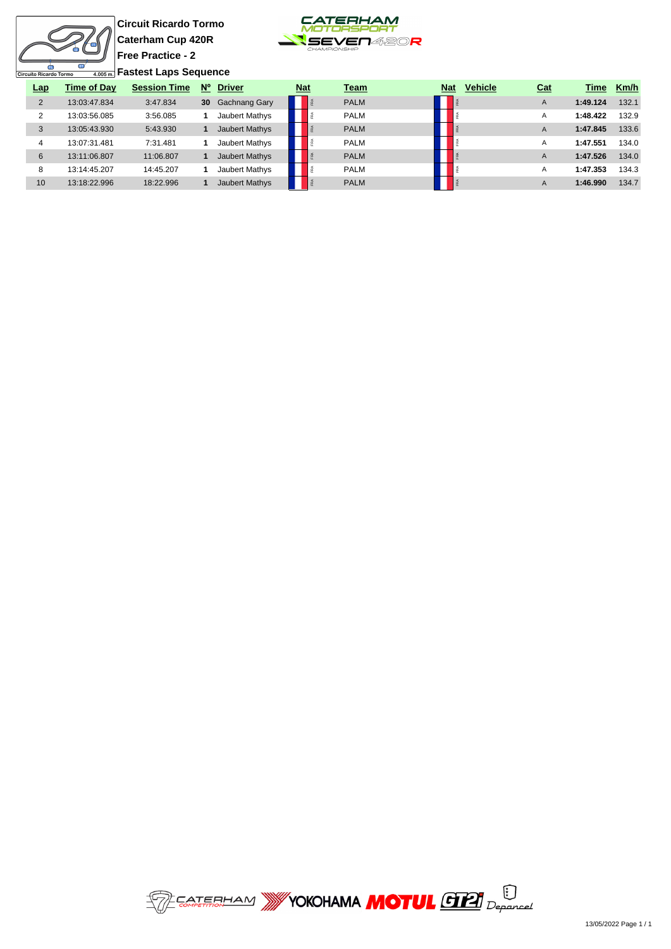Ò uito Ricardo Tormo

**Circuit Ricardo Tormo Caterham Cup 420R Free Practice - 2 Fastest Laps Sequence**



| <b>Lap</b>     | <b>Time of Day</b> | <b>Session Time</b> | $N^{\circ}$     | <b>Driver</b>         | <b>Nat</b> | <b>Team</b> | <b>Nat</b> | <b>Vehicle</b> | <u>Cat</u> | Time     | Km/h  |
|----------------|--------------------|---------------------|-----------------|-----------------------|------------|-------------|------------|----------------|------------|----------|-------|
| $\overline{2}$ | 13:03:47.834       | 3:47.834            | 30 <sup>°</sup> | <b>Gachnang Gary</b>  |            | <b>PALM</b> |            |                | A          | 1:49.124 | 132.1 |
| 2              | 13:03:56.085       | 3:56.085            |                 | Jaubert Mathys        |            | <b>PALM</b> |            |                | A          | 1:48.422 | 132.9 |
| 3              | 13:05:43.930       | 5:43.930            |                 | Jaubert Mathys        |            | <b>PALM</b> |            |                | A          | 1:47.845 | 133.6 |
| 4              | 13:07:31.481       | 7:31.481            |                 | Jaubert Mathys        |            | <b>PALM</b> |            |                | A          | 1:47.551 | 134.0 |
| 6              | 13:11:06.807       | 11:06.807           |                 | <b>Jaubert Mathys</b> |            | <b>PALM</b> |            |                | A          | 1:47.526 | 134.0 |
| 8              | 13:14:45.207       | 14:45.207           |                 | Jaubert Mathys        |            | <b>PALM</b> |            |                | A          | 1:47.353 | 134.3 |
| 10             | 13:18:22.996       | 18:22.996           |                 | <b>Jaubert Mathys</b> |            | <b>PALM</b> |            |                | A          | 1:46.990 | 134.7 |

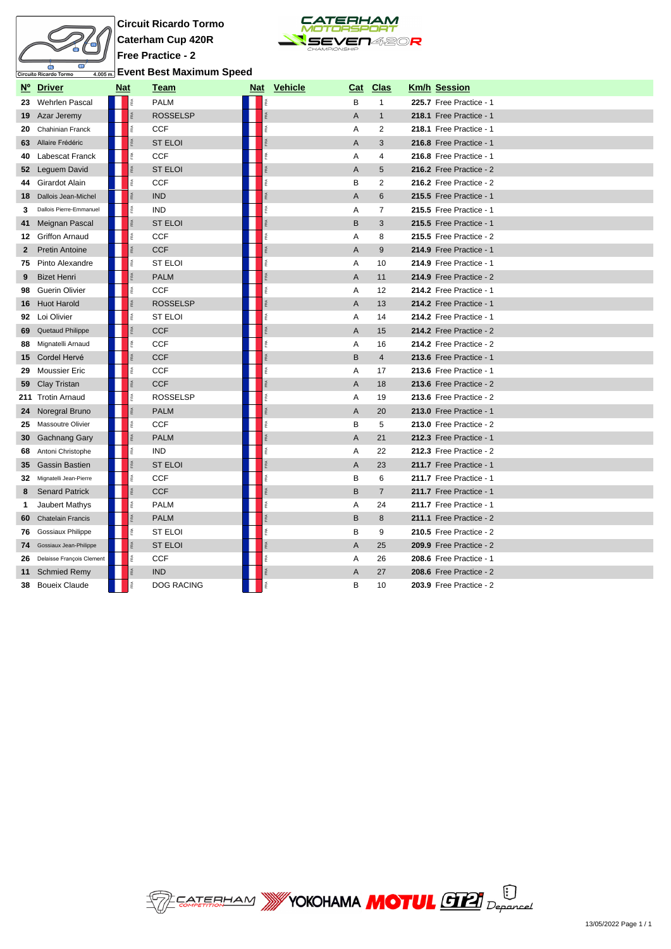

**Circuit Ricardo Tormo Caterham Cup 420R Free Practice - 2 Event Best Maximum Speed**



|    | Nº Driver                 | <b>Nat</b> |                 | <u>Team</u>       | Nat Vehicle | <u>Cat</u>     | <u>Clas</u>    | <b>Km/h Session</b>     |
|----|---------------------------|------------|-----------------|-------------------|-------------|----------------|----------------|-------------------------|
| 23 | Wehrlen Pascal            |            |                 | <b>PALM</b>       |             | B              | $\mathbf{1}$   | 225.7 Free Practice - 1 |
|    | 19 Azar Jeremy            |            | Ř               | <b>ROSSELSP</b>   | RÁ          | A              | $\mathbf{1}$   | 218.1 Free Practice - 1 |
| 20 | Chahinian Franck          |            | īRA.            | <b>CCF</b>        | FRA         | Α              | 2              | 218.1 Free Practice - 1 |
| 63 | Allaire Frédéric          |            | FRA             | <b>ST ELOI</b>    | FRA         | A              | 3              | 216.8 Free Practice - 1 |
|    | 40 Labescat Franck        |            | î.              | <b>CCF</b>        | FRA         | Α              | 4              | 216.8 Free Practice - 1 |
|    | 52 Leguem David           |            | RA <sub>1</sub> | <b>ST ELOI</b>    | ŖÃ.         | $\overline{A}$ | 5              | 216.2 Free Practice - 2 |
|    | 44 Girardot Alain         |            | é               | <b>CCF</b>        | é           | B              | $\overline{2}$ | 216.2 Free Practice - 2 |
| 18 | Dallois Jean-Michel       |            | <b>RA</b>       | <b>IND</b>        | FRA         | $\overline{A}$ | 6              | 215.5 Free Practice - 1 |
| 3  | Dallois Pierre-Emmanuel   |            | FRA             | <b>IND</b>        | FRA         | Α              | $\overline{7}$ | 215.5 Free Practice - 1 |
| 41 | Meignan Pascal            |            | FRA             | <b>ST ELOI</b>    |             | B              | 3              | 215.5 Free Practice - 1 |
|    | 12 Griffon Arnaud         |            | Ř               | <b>CCF</b>        | R           | Α              | 8              | 215.5 Free Practice - 2 |
| 2  | <b>Pretin Antoine</b>     |            | FRA             | <b>CCF</b>        | FRA         | A              | 9              | 214.9 Free Practice - 1 |
| 75 | Pinto Alexandre           |            | Ř               | <b>ST ELOI</b>    | FRA         | Α              | 10             | 214.9 Free Practice - 1 |
| 9  | <b>Bizet Henri</b>        |            | Ř               | <b>PALM</b>       | RÁ          | A              | 11             | 214.9 Free Practice - 2 |
| 98 | Guerin Olivier            |            | Ř               | <b>CCF</b>        | R           | Α              | 12             | 214.2 Free Practice - 1 |
| 16 | <b>Huot Harold</b>        |            |                 | <b>ROSSELSP</b>   | FRA         | A              | 13             | 214.2 Free Practice - 1 |
| 92 | Loi Olivier               |            | î.              | <b>ST ELOI</b>    | FRA         | Α              | 14             | 214.2 Free Practice - 1 |
| 69 | Quetaud Philippe          |            |                 | <b>CCF</b>        | FRA         | A              | 15             | 214.2 Free Practice - 2 |
| 88 | Mignatelli Arnaud         |            | é               | <b>CCF</b>        | FRA         | Α              | 16             | 214.2 Free Practice - 2 |
|    | 15 Cordel Hervé           |            |                 | <b>CCF</b>        | FRA         | B              | $\overline{4}$ | 213.6 Free Practice - 1 |
| 29 | <b>Moussier Eric</b>      |            | ŘÁ              | <b>CCF</b>        | FRA         | Α              | 17             | 213.6 Free Practice - 1 |
| 59 | Clay Tristan              |            | <b>RA</b>       | <b>CCF</b>        | FRA         | A              | 18             | 213.6 Free Practice - 2 |
|    | 211 Trotin Arnaud         |            | 圅               | <b>ROSSELSP</b>   | R           | Α              | 19             | 213.6 Free Practice - 2 |
| 24 | Noregral Bruno            |            | RA <sub>1</sub> | <b>PALM</b>       | ŖÃ.         | A              | 20             | 213.0 Free Practice - 1 |
| 25 | Massoutre Olivier         |            | Ř               | <b>CCF</b>        | FRA         | B              | 5              | 213.0 Free Practice - 2 |
| 30 | <b>Gachnang Gary</b>      |            | FRA             | <b>PALM</b>       | FRA         | A              | 21             | 212.3 Free Practice - 1 |
| 68 | Antoni Christophe         |            | 斎               | <b>IND</b>        | 歪           | Α              | 22             | 212.3 Free Practice - 2 |
| 35 | <b>Gassin Bastien</b>     |            | FRA             | <b>ST ELOI</b>    |             | A              | 23             | 211.7 Free Practice - 1 |
| 32 | Mignatelli Jean-Pierre    |            | FRA             | <b>CCF</b>        | FRA         | В              | 6              | 211.7 Free Practice - 1 |
| 8  | <b>Senard Patrick</b>     |            | FRA             | <b>CCF</b>        |             | B              | $\overline{7}$ | 211.7 Free Practice - 1 |
| 1  | Jaubert Mathys            |            | Ŕ               | <b>PALM</b>       | é           | Α              | 24             | 211.7 Free Practice - 1 |
| 60 | <b>Chatelain Francis</b>  |            |                 | <b>PALM</b>       |             | B              | 8              | 211.1 Free Practice - 2 |
| 76 | Gossiaux Philippe         |            | F <sub>RA</sub> | <b>ST ELOI</b>    |             | B              | 9              | 210.5 Free Practice - 2 |
| 74 | Gossiaux Jean-Philippe    |            | FRA             | <b>ST ELOI</b>    |             | A              | 25             | 209.9 Free Practice - 2 |
| 26 | Delaisse François Clement |            | Ř               | <b>CCF</b>        |             | Α              | 26             | 208.6 Free Practice - 1 |
| 11 | <b>Schmied Remy</b>       |            | res.            | <b>IND</b>        |             | A              | 27             | 208.6 Free Practice - 2 |
| 38 | <b>Boueix Claude</b>      |            | î.              | <b>DOG RACING</b> |             | B              | 10             | 203.9 Free Practice - 2 |

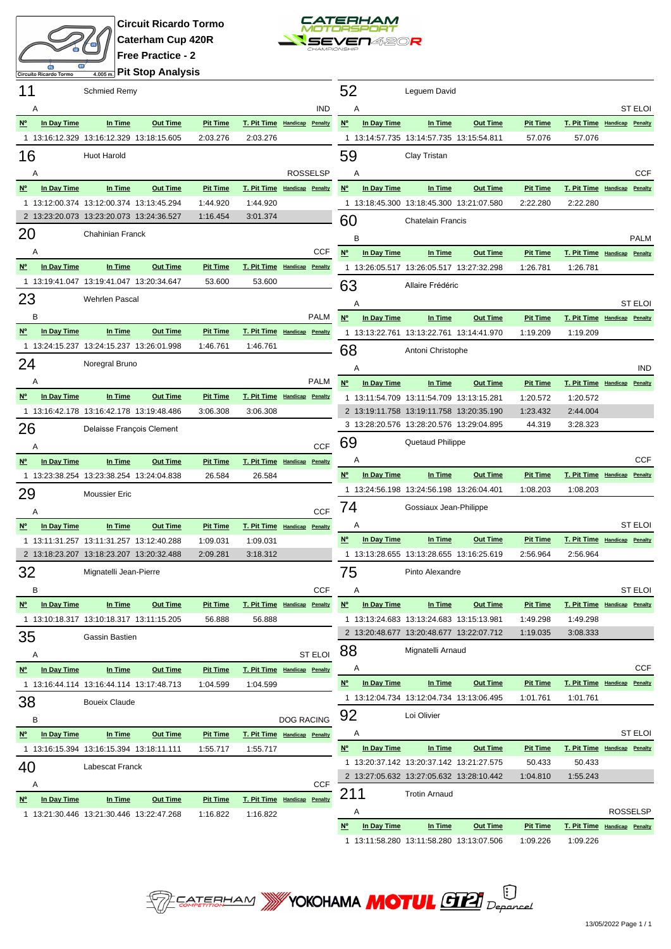



**Pit Stop Analysis**

| 11                                    |                    | <b>Schmied Remy</b>                      |                 |                 |                              |                   |                | 52                                    |             | Leguem David                                                                         |                 |                    |                      |                                             |
|---------------------------------------|--------------------|------------------------------------------|-----------------|-----------------|------------------------------|-------------------|----------------|---------------------------------------|-------------|--------------------------------------------------------------------------------------|-----------------|--------------------|----------------------|---------------------------------------------|
|                                       | Α                  |                                          |                 |                 |                              |                   | <b>IND</b>     | Α                                     |             |                                                                                      |                 |                    |                      | <b>ST ELOI</b>                              |
| $N^{\circ}$                           | In Day Time        | In Time                                  | <b>Out Time</b> | <b>Pit Time</b> | T. Pit Time Handicap Penalty |                   |                | $N^{\circ}$                           | In Day Time | In Time                                                                              | <b>Out Time</b> | <b>Pit Time</b>    |                      | T. Pit Time Handicap Penalty                |
|                                       |                    | 1 13:16:12.329 13:16:12.329 13:18:15.605 |                 | 2:03.276        | 2:03.276                     |                   |                |                                       |             | 1 13:14:57.735 13:14:57.735 13:15:54.811                                             |                 | 57.076             | 57.076               |                                             |
| 16                                    |                    | <b>Huot Harold</b>                       |                 |                 |                              |                   |                | 59                                    |             | Clay Tristan                                                                         |                 |                    |                      |                                             |
|                                       | Α                  |                                          |                 |                 |                              | <b>ROSSELSP</b>   |                | Α                                     |             |                                                                                      |                 |                    |                      | <b>CCF</b>                                  |
| $N^{\circ}$                           | In Day Time        | In Time                                  | <b>Out Time</b> | <b>Pit Time</b> | T. Pit Time Handicap Penalty |                   |                | $N^{\circ}$                           | In Day Time | In Time                                                                              | <b>Out Time</b> | <b>Pit Time</b>    |                      | T. Pit Time Handicap Penalty                |
|                                       |                    | 1 13:12:00.374 13:12:00.374 13:13:45.294 |                 | 1:44.920        | 1:44.920                     |                   |                |                                       |             | 1 13:18:45.300 13:18:45.300 13:21:07.580                                             |                 | 2:22.280           | 2:22.280             |                                             |
|                                       |                    | 2 13:23:20.073 13:23:20.073 13:24:36.527 |                 | 1:16.454        | 3:01.374                     |                   |                | 60                                    |             | <b>Chatelain Francis</b>                                                             |                 |                    |                      |                                             |
| 20                                    |                    | Chahinian Franck                         |                 |                 |                              |                   |                | B                                     |             |                                                                                      |                 |                    |                      |                                             |
|                                       | Α                  |                                          |                 |                 |                              |                   | <b>CCF</b>     | $N^{\circ}$                           | In Day Time | In Time                                                                              | <b>Out Time</b> | <b>Pit Time</b>    |                      | <b>PALM</b><br>T. Pit Time Handicap Penalty |
| $N^{\circ}$                           | In Day Time        | In Time                                  | <b>Out Time</b> | <b>Pit Time</b> | T. Pit Time Handicap Penalty |                   |                |                                       |             | 1 13:26:05.517 13:26:05.517 13:27:32.298                                             |                 | 1:26.781           | 1:26.781             |                                             |
|                                       |                    | 1 13:19:41.047 13:19:41.047 13:20:34.647 |                 | 53.600          | 53.600                       |                   |                |                                       |             |                                                                                      |                 |                    |                      |                                             |
| 23                                    |                    | <b>Wehrlen Pascal</b>                    |                 |                 |                              |                   |                | 63                                    |             | Allaire Frédéric                                                                     |                 |                    |                      |                                             |
|                                       |                    |                                          |                 |                 |                              |                   |                | Α                                     |             |                                                                                      |                 |                    |                      | <b>ST ELOI</b>                              |
|                                       | B                  |                                          |                 |                 |                              |                   | <b>PALM</b>    | $N^{\circ}$                           | In Day Time | In Time                                                                              | <b>Out Time</b> | <b>Pit Time</b>    |                      | T. Pit Time Handicap Penalty                |
| $N^{\circ}$                           | In Day Time        | In Time                                  | <b>Out Time</b> | <b>Pit Time</b> | T. Pit Time Handicap Penalty |                   |                |                                       |             | 1 13:13:22.761 13:13:22.761 13:14:41.970                                             |                 | 1:19.209           | 1:19.209             |                                             |
|                                       |                    | 1 13:24:15.237 13:24:15.237 13:26:01.998 |                 | 1:46.761        | 1:46.761                     |                   |                | 68                                    |             | Antoni Christophe                                                                    |                 |                    |                      |                                             |
| 24                                    |                    | Noregral Bruno                           |                 |                 |                              |                   |                | Α                                     |             |                                                                                      |                 |                    |                      | <b>IND</b>                                  |
|                                       | Α                  |                                          |                 |                 |                              |                   | <b>PALM</b>    | $N^{\circ}$                           | In Day Time | In Time                                                                              | <b>Out Time</b> | <b>Pit Time</b>    | T. Pit Time Handicap | Penalty                                     |
| $N^{\circ}$                           | In Day Time        | In Time                                  | <b>Out Time</b> | <b>Pit Time</b> | T. Pit Time Handicap Penalty |                   |                |                                       |             | 1 13:11:54.709 13:11:54.709 13:13:15.281                                             |                 | 1:20.572           | 1:20.572             |                                             |
|                                       |                    | 1 13:16:42.178 13:16:42.178 13:19:48.486 |                 | 3:06.308        | 3:06.308                     |                   |                |                                       |             | 2 13:19:11.758 13:19:11.758 13:20:35.190                                             |                 | 1:23.432           | 2:44.004             |                                             |
| 26                                    |                    | Delaisse François Clement                |                 |                 |                              |                   |                |                                       |             | 3 13:28:20.576 13:28:20.576 13:29:04.895                                             |                 | 44.319             | 3:28.323             |                                             |
|                                       | Α                  |                                          |                 |                 |                              |                   | <b>CCF</b>     | 69                                    |             | Quetaud Philippe                                                                     |                 |                    |                      |                                             |
| $N^{\circ}$                           | In Day Time        | In Time                                  | <b>Out Time</b> | <b>Pit Time</b> | T. Pit Time Handicap         |                   | Penalty        | Α                                     |             |                                                                                      |                 |                    |                      | <b>CCF</b>                                  |
|                                       |                    | 1 13:23:38.254 13:23:38.254 13:24:04.838 |                 | 26.584          | 26.584                       |                   |                | $\mathsf{N}^\mathsf{o}$               | In Day Time | In Time                                                                              | <b>Out Time</b> | <b>Pit Time</b>    | T. Pit Time Handicap | Penalty                                     |
| 29                                    |                    | <b>Moussier Eric</b>                     |                 |                 |                              |                   |                |                                       |             | 1 13:24:56.198 13:24:56.198 13:26:04.401                                             |                 | 1:08.203           | 1:08.203             |                                             |
|                                       | Α                  |                                          |                 |                 |                              |                   | <b>CCF</b>     | 74                                    |             | Gossiaux Jean-Philippe                                                               |                 |                    |                      |                                             |
| <b>N°</b>                             | In Day Time        | In Time                                  | <b>Out Time</b> | <b>Pit Time</b> | T. Pit Time Handicap Penalty |                   |                | Α                                     |             |                                                                                      |                 |                    |                      | <b>ST ELOI</b>                              |
|                                       |                    | 1 13:11:31.257 13:11:31.257 13:12:40.288 |                 | 1:09.031        | 1:09.031                     |                   |                | $N^{\circ}$                           | In Day Time | In Time                                                                              | <b>Out Time</b> | <b>Pit Time</b>    |                      | T. Pit Time Handicap Penalty                |
|                                       |                    | 2 13:18:23.207 13:18:23.207 13:20:32.488 |                 | 2:09.281        | 3:18.312                     |                   |                |                                       |             | 1 13:13:28.655 13:13:28.655 13:16:25.619                                             |                 | 2:56.964           | 2:56.964             |                                             |
| 32                                    |                    | Mignatelli Jean-Pierre                   |                 |                 |                              |                   |                | 75                                    |             | Pinto Alexandre                                                                      |                 |                    |                      |                                             |
|                                       |                    |                                          |                 |                 |                              |                   | CCF            | $\mathsf{A}$                          |             |                                                                                      |                 |                    |                      | ST ELOI                                     |
|                                       | Nº In Day Time     | In Time                                  | <b>Out Time</b> | <b>Pit Time</b> | T. Pit Time Handicap Penalty |                   |                | $N^{\circ}$                           | In Day Time | In Time                                                                              | <b>Out Time</b> | <b>Pit Time</b>    |                      | T. Pit Time Handicap Penalty                |
|                                       |                    | 1 13:10:18.317 13:10:18.317 13:11:15.205 |                 | 56.888          | 56.888                       |                   |                |                                       |             | 1 13:13:24.683 13:13:24.683 13:15:13.981                                             |                 | 1:49.298           | 1:49.298             |                                             |
| 35                                    |                    | Gassin Bastien                           |                 |                 |                              |                   |                |                                       |             | 2 13:20:48.677 13:20:48.677 13:22:07.712                                             |                 | 1:19.035           | 3:08.333             |                                             |
|                                       |                    |                                          |                 |                 |                              |                   | <b>ST ELOI</b> | 88                                    |             | Mignatelli Arnaud                                                                    |                 |                    |                      |                                             |
| $\underline{N}^{\circ}$               | Α<br>In Day Time   | In Time                                  | <b>Out Time</b> | <b>Pit Time</b> | T. Pit Time Handicap Penalty |                   |                | A                                     |             |                                                                                      |                 |                    |                      | CCF                                         |
|                                       |                    | 1 13:16:44.114 13:16:44.114 13:17:48.713 |                 | 1:04.599        | 1:04.599                     |                   |                | <u>N°</u>                             | In Day Time | In Time                                                                              | <b>Out Time</b> | <b>Pit Time</b>    |                      | T. Pit Time Handicap Penalty                |
|                                       |                    |                                          |                 |                 |                              |                   |                |                                       |             | 1 13:12:04.734 13:12:04.734 13:13:06.495                                             |                 | 1:01.761           | 1:01.761             |                                             |
| 38                                    |                    | <b>Boueix Claude</b>                     |                 |                 |                              |                   |                | 92                                    |             | Loi Olivier                                                                          |                 |                    |                      |                                             |
|                                       | в                  |                                          |                 |                 |                              | <b>DOG RACING</b> |                |                                       |             |                                                                                      |                 |                    |                      |                                             |
| $\underline{\mathsf{N}^{\mathsf{o}}}$ | <b>In Day Time</b> | In Time                                  | <b>Out Time</b> | <b>Pit Time</b> | T. Pit Time Handicap Penalty |                   |                | Α                                     |             |                                                                                      |                 |                    |                      | ST ELOI                                     |
|                                       |                    | 1 13:16:15.394 13:16:15.394 13:18:11.111 |                 | 1:55.717        | 1:55.717                     |                   |                | $\underline{\mathsf{N}^{\mathsf{o}}}$ | In Day Time | In Time                                                                              | <b>Out Time</b> | <b>Pit Time</b>    |                      | T. Pit Time Handicap Penalty                |
| 40                                    |                    | Labescat Franck                          |                 |                 |                              |                   |                |                                       |             | 1 13:20:37.142 13:20:37.142 13:21:27.575<br>2 13:27:05.632 13:27:05.632 13:28:10.442 |                 | 50.433<br>1:04.810 | 50.433<br>1:55.243   |                                             |
|                                       | Α                  |                                          |                 |                 |                              |                   | <b>CCF</b>     |                                       |             |                                                                                      |                 |                    |                      |                                             |
| $\underline{\mathsf{N}^{\circ}}$      | In Day Time        | In Time                                  | <b>Out Time</b> | <b>Pit Time</b> | T. Pit Time Handicap Penalty |                   |                | 211                                   |             | <b>Trotin Arnaud</b>                                                                 |                 |                    |                      |                                             |
|                                       |                    | 1 13:21:30.446 13:21:30.446 13:22:47.268 |                 | 1:16.822        | 1:16.822                     |                   |                | A                                     |             |                                                                                      |                 |                    |                      | <b>ROSSELSP</b>                             |
|                                       |                    |                                          |                 |                 |                              |                   |                | N°                                    | In Day Time | In Time                                                                              | <b>Out Time</b> | <b>Pit Time</b>    |                      | T. Pit Time Handicap Penalty                |
|                                       |                    |                                          |                 |                 |                              |                   |                |                                       |             | 1 13:11:58.280 13:11:58.280 13:13:07.506                                             |                 | 1:09.226           | 1:09.226             |                                             |

**SEPTERHAM WYOKOHAMA MOTUL GELI** Deparcel